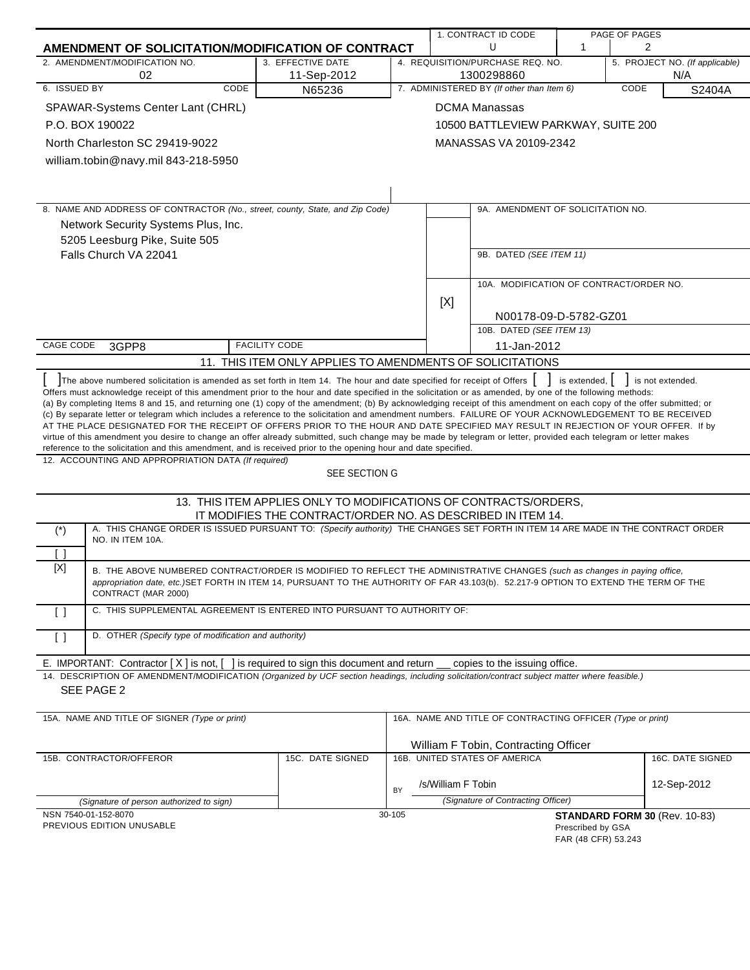|                                                                                                                                                                                                                                                                                                                                                                                                                                                                                                                                                                                                                                                                                                                                                                                                                                                                                                                                                                                                                                                                                                             |                                                                  |        |                    | 1. CONTRACT ID CODE<br>U                                   | $\mathbf{1}$                             | PAGE OF PAGES<br>2             |  |
|-------------------------------------------------------------------------------------------------------------------------------------------------------------------------------------------------------------------------------------------------------------------------------------------------------------------------------------------------------------------------------------------------------------------------------------------------------------------------------------------------------------------------------------------------------------------------------------------------------------------------------------------------------------------------------------------------------------------------------------------------------------------------------------------------------------------------------------------------------------------------------------------------------------------------------------------------------------------------------------------------------------------------------------------------------------------------------------------------------------|------------------------------------------------------------------|--------|--------------------|------------------------------------------------------------|------------------------------------------|--------------------------------|--|
| AMENDMENT OF SOLICITATION/MODIFICATION OF CONTRACT<br>2. AMENDMENT/MODIFICATION NO.                                                                                                                                                                                                                                                                                                                                                                                                                                                                                                                                                                                                                                                                                                                                                                                                                                                                                                                                                                                                                         | 3. EFFECTIVE DATE                                                |        |                    | 4. REQUISITION/PURCHASE REQ. NO.                           |                                          | 5. PROJECT NO. (If applicable) |  |
| 02                                                                                                                                                                                                                                                                                                                                                                                                                                                                                                                                                                                                                                                                                                                                                                                                                                                                                                                                                                                                                                                                                                          | 11-Sep-2012                                                      |        |                    | 1300298860                                                 |                                          | N/A                            |  |
| 6. ISSUED BY<br>CODE                                                                                                                                                                                                                                                                                                                                                                                                                                                                                                                                                                                                                                                                                                                                                                                                                                                                                                                                                                                                                                                                                        | N65236                                                           |        |                    | 7. ADMINISTERED BY (If other than Item 6)                  |                                          | CODE<br>S2404A                 |  |
| SPAWAR-Systems Center Lant (CHRL)                                                                                                                                                                                                                                                                                                                                                                                                                                                                                                                                                                                                                                                                                                                                                                                                                                                                                                                                                                                                                                                                           |                                                                  |        |                    | <b>DCMA Manassas</b>                                       |                                          |                                |  |
| P.O. BOX 190022                                                                                                                                                                                                                                                                                                                                                                                                                                                                                                                                                                                                                                                                                                                                                                                                                                                                                                                                                                                                                                                                                             |                                                                  |        |                    | 10500 BATTLEVIEW PARKWAY, SUITE 200                        |                                          |                                |  |
| North Charleston SC 29419-9022                                                                                                                                                                                                                                                                                                                                                                                                                                                                                                                                                                                                                                                                                                                                                                                                                                                                                                                                                                                                                                                                              |                                                                  |        |                    | MANASSAS VA 20109-2342                                     |                                          |                                |  |
| william.tobin@navy.mil 843-218-5950                                                                                                                                                                                                                                                                                                                                                                                                                                                                                                                                                                                                                                                                                                                                                                                                                                                                                                                                                                                                                                                                         |                                                                  |        |                    |                                                            |                                          |                                |  |
|                                                                                                                                                                                                                                                                                                                                                                                                                                                                                                                                                                                                                                                                                                                                                                                                                                                                                                                                                                                                                                                                                                             |                                                                  |        |                    |                                                            |                                          |                                |  |
|                                                                                                                                                                                                                                                                                                                                                                                                                                                                                                                                                                                                                                                                                                                                                                                                                                                                                                                                                                                                                                                                                                             |                                                                  |        |                    |                                                            |                                          |                                |  |
| 8. NAME AND ADDRESS OF CONTRACTOR (No., street, county, State, and Zip Code)                                                                                                                                                                                                                                                                                                                                                                                                                                                                                                                                                                                                                                                                                                                                                                                                                                                                                                                                                                                                                                |                                                                  |        |                    | 9A. AMENDMENT OF SOLICITATION NO.                          |                                          |                                |  |
| Network Security Systems Plus, Inc.                                                                                                                                                                                                                                                                                                                                                                                                                                                                                                                                                                                                                                                                                                                                                                                                                                                                                                                                                                                                                                                                         |                                                                  |        |                    |                                                            |                                          |                                |  |
| 5205 Leesburg Pike, Suite 505                                                                                                                                                                                                                                                                                                                                                                                                                                                                                                                                                                                                                                                                                                                                                                                                                                                                                                                                                                                                                                                                               |                                                                  |        |                    |                                                            |                                          |                                |  |
| Falls Church VA 22041                                                                                                                                                                                                                                                                                                                                                                                                                                                                                                                                                                                                                                                                                                                                                                                                                                                                                                                                                                                                                                                                                       |                                                                  |        |                    | 9B. DATED (SEE ITEM 11)                                    |                                          |                                |  |
|                                                                                                                                                                                                                                                                                                                                                                                                                                                                                                                                                                                                                                                                                                                                                                                                                                                                                                                                                                                                                                                                                                             |                                                                  |        |                    |                                                            |                                          |                                |  |
|                                                                                                                                                                                                                                                                                                                                                                                                                                                                                                                                                                                                                                                                                                                                                                                                                                                                                                                                                                                                                                                                                                             |                                                                  |        |                    | 10A. MODIFICATION OF CONTRACT/ORDER NO.                    |                                          |                                |  |
|                                                                                                                                                                                                                                                                                                                                                                                                                                                                                                                                                                                                                                                                                                                                                                                                                                                                                                                                                                                                                                                                                                             |                                                                  |        | [X]                | N00178-09-D-5782-GZ01                                      |                                          |                                |  |
|                                                                                                                                                                                                                                                                                                                                                                                                                                                                                                                                                                                                                                                                                                                                                                                                                                                                                                                                                                                                                                                                                                             |                                                                  |        |                    | 10B. DATED (SEE ITEM 13)                                   |                                          |                                |  |
| CAGE CODE<br>3GPP8                                                                                                                                                                                                                                                                                                                                                                                                                                                                                                                                                                                                                                                                                                                                                                                                                                                                                                                                                                                                                                                                                          | <b>FACILITY CODE</b>                                             |        |                    | 11-Jan-2012                                                |                                          |                                |  |
|                                                                                                                                                                                                                                                                                                                                                                                                                                                                                                                                                                                                                                                                                                                                                                                                                                                                                                                                                                                                                                                                                                             | 11. THIS ITEM ONLY APPLIES TO AMENDMENTS OF SOLICITATIONS        |        |                    |                                                            |                                          |                                |  |
| The above numbered solicitation is amended as set forth in Item 14. The hour and date specified for receipt of Offers<br>Offers must acknowledge receipt of this amendment prior to the hour and date specified in the solicitation or as amended, by one of the following methods:<br>(a) By completing Items 8 and 15, and returning one (1) copy of the amendment; (b) By acknowledging receipt of this amendment on each copy of the offer submitted; or<br>(c) By separate letter or telegram which includes a reference to the solicitation and amendment numbers. FAILURE OF YOUR ACKNOWLEDGEMENT TO BE RECEIVED<br>AT THE PLACE DESIGNATED FOR THE RECEIPT OF OFFERS PRIOR TO THE HOUR AND DATE SPECIFIED MAY RESULT IN REJECTION OF YOUR OFFER. If by<br>virtue of this amendment you desire to change an offer already submitted, such change may be made by telegram or letter, provided each telegram or letter makes<br>reference to the solicitation and this amendment, and is received prior to the opening hour and date specified.<br>12. ACCOUNTING AND APPROPRIATION DATA (If required) | SEE SECTION G                                                    |        |                    |                                                            | is extended, $\vert$                     | is not extended.               |  |
|                                                                                                                                                                                                                                                                                                                                                                                                                                                                                                                                                                                                                                                                                                                                                                                                                                                                                                                                                                                                                                                                                                             | 13. THIS ITEM APPLIES ONLY TO MODIFICATIONS OF CONTRACTS/ORDERS, |        |                    |                                                            |                                          |                                |  |
|                                                                                                                                                                                                                                                                                                                                                                                                                                                                                                                                                                                                                                                                                                                                                                                                                                                                                                                                                                                                                                                                                                             | IT MODIFIES THE CONTRACT/ORDER NO. AS DESCRIBED IN ITEM 14.      |        |                    |                                                            |                                          |                                |  |
| A. THIS CHANGE ORDER IS ISSUED PURSUANT TO: (Specify authority) THE CHANGES SET FORTH IN ITEM 14 ARE MADE IN THE CONTRACT ORDER<br>$(\dot{\phantom{a}})$<br>NO. IN ITEM 10A.                                                                                                                                                                                                                                                                                                                                                                                                                                                                                                                                                                                                                                                                                                                                                                                                                                                                                                                                |                                                                  |        |                    |                                                            |                                          |                                |  |
| $\lceil$ $\rceil$<br>[X]                                                                                                                                                                                                                                                                                                                                                                                                                                                                                                                                                                                                                                                                                                                                                                                                                                                                                                                                                                                                                                                                                    |                                                                  |        |                    |                                                            |                                          |                                |  |
| B. THE ABOVE NUMBERED CONTRACT/ORDER IS MODIFIED TO REFLECT THE ADMINISTRATIVE CHANGES (such as changes in paying office,<br>appropriation date, etc.)SET FORTH IN ITEM 14, PURSUANT TO THE AUTHORITY OF FAR 43.103(b). 52.217-9 OPTION TO EXTEND THE TERM OF THE<br>CONTRACT (MAR 2000)                                                                                                                                                                                                                                                                                                                                                                                                                                                                                                                                                                                                                                                                                                                                                                                                                    |                                                                  |        |                    |                                                            |                                          |                                |  |
| C. THIS SUPPLEMENTAL AGREEMENT IS ENTERED INTO PURSUANT TO AUTHORITY OF:<br>$\lceil$ $\rceil$                                                                                                                                                                                                                                                                                                                                                                                                                                                                                                                                                                                                                                                                                                                                                                                                                                                                                                                                                                                                               |                                                                  |        |                    |                                                            |                                          |                                |  |
| D. OTHER (Specify type of modification and authority)<br>$\lceil$ $\rceil$                                                                                                                                                                                                                                                                                                                                                                                                                                                                                                                                                                                                                                                                                                                                                                                                                                                                                                                                                                                                                                  |                                                                  |        |                    |                                                            |                                          |                                |  |
| E. IMPORTANT: Contractor $[X]$ is not, $[$                                                                                                                                                                                                                                                                                                                                                                                                                                                                                                                                                                                                                                                                                                                                                                                                                                                                                                                                                                                                                                                                  | is required to sign this document and return                     |        |                    | copies to the issuing office.                              |                                          |                                |  |
| 14. DESCRIPTION OF AMENDMENT/MODIFICATION (Organized by UCF section headings, including solicitation/contract subject matter where feasible.)<br>SEE PAGE 2                                                                                                                                                                                                                                                                                                                                                                                                                                                                                                                                                                                                                                                                                                                                                                                                                                                                                                                                                 |                                                                  |        |                    |                                                            |                                          |                                |  |
|                                                                                                                                                                                                                                                                                                                                                                                                                                                                                                                                                                                                                                                                                                                                                                                                                                                                                                                                                                                                                                                                                                             |                                                                  |        |                    |                                                            |                                          |                                |  |
| 15A. NAME AND TITLE OF SIGNER (Type or print)                                                                                                                                                                                                                                                                                                                                                                                                                                                                                                                                                                                                                                                                                                                                                                                                                                                                                                                                                                                                                                                               |                                                                  |        |                    | 16A. NAME AND TITLE OF CONTRACTING OFFICER (Type or print) |                                          |                                |  |
|                                                                                                                                                                                                                                                                                                                                                                                                                                                                                                                                                                                                                                                                                                                                                                                                                                                                                                                                                                                                                                                                                                             |                                                                  |        |                    | William F Tobin, Contracting Officer                       |                                          |                                |  |
| 15B. CONTRACTOR/OFFEROR                                                                                                                                                                                                                                                                                                                                                                                                                                                                                                                                                                                                                                                                                                                                                                                                                                                                                                                                                                                                                                                                                     | 15C. DATE SIGNED                                                 |        |                    | 16B. UNITED STATES OF AMERICA                              |                                          | 16C. DATE SIGNED               |  |
|                                                                                                                                                                                                                                                                                                                                                                                                                                                                                                                                                                                                                                                                                                                                                                                                                                                                                                                                                                                                                                                                                                             |                                                                  |        | /s/William F Tobin |                                                            |                                          | 12-Sep-2012                    |  |
|                                                                                                                                                                                                                                                                                                                                                                                                                                                                                                                                                                                                                                                                                                                                                                                                                                                                                                                                                                                                                                                                                                             |                                                                  | BY     |                    |                                                            |                                          |                                |  |
| (Signature of person authorized to sign)<br>NSN 7540-01-152-8070                                                                                                                                                                                                                                                                                                                                                                                                                                                                                                                                                                                                                                                                                                                                                                                                                                                                                                                                                                                                                                            |                                                                  | 30-105 |                    | (Signature of Contracting Officer)                         |                                          | STANDARD FORM 30 (Rev. 10-83)  |  |
| PREVIOUS EDITION UNUSABLE                                                                                                                                                                                                                                                                                                                                                                                                                                                                                                                                                                                                                                                                                                                                                                                                                                                                                                                                                                                                                                                                                   |                                                                  |        |                    |                                                            | Prescribed by GSA<br>FAR (48 CFR) 53.243 |                                |  |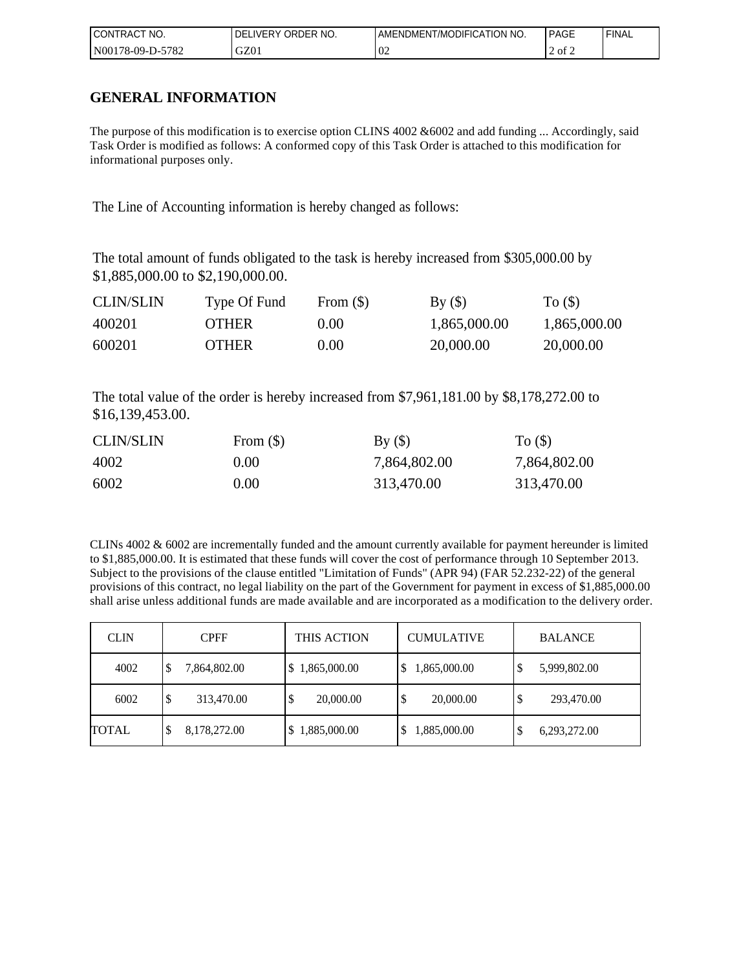| I CONTRACT<br>NO. | ORDER NO.<br>DEL<br><b>LIVERY</b> | AMENDMENT/MODIFICATION NO. | <b>PAGE</b> | ' FINAL |
|-------------------|-----------------------------------|----------------------------|-------------|---------|
| N00178-09-D-5782  | GZ01                              | $\Omega$<br>VZ             | $2$ of $2$  |         |

## **GENERAL INFORMATION**

The purpose of this modification is to exercise option CLINS 4002 &6002 and add funding ... Accordingly, said Task Order is modified as follows: A conformed copy of this Task Order is attached to this modification for informational purposes only.

The Line of Accounting information is hereby changed as follows:

The total amount of funds obligated to the task is hereby increased from \$305,000.00 by \$1,885,000.00 to \$2,190,000.00.

| <b>CLIN/SLIN</b> | Type Of Fund | From $(\$)$ | By()         | To $($ )     |
|------------------|--------------|-------------|--------------|--------------|
| 400201           | <b>OTHER</b> | (0.00)      | 1,865,000.00 | 1,865,000.00 |
| 600201           | <b>OTHER</b> | (0.00)      | 20,000.00    | 20,000.00    |

The total value of the order is hereby increased from \$7,961,181.00 by \$8,178,272.00 to \$16,139,453.00.

| <b>CLIN/SLIN</b> | From $(\$)$ | By()         | To $($ )     |
|------------------|-------------|--------------|--------------|
| 4002             | 0.00        | 7,864,802.00 | 7,864,802.00 |
| 6002             | 0.00        | 313,470.00   | 313,470.00   |

CLINs  $4002 \& 6002$  are incrementally funded and the amount currently available for payment hereunder is limited to \$1,885,000.00. It is estimated that these funds will cover the cost of performance through 10 September 2013. Subject to the provisions of the clause entitled "Limitation of Funds" (APR 94) (FAR 52.232-22) of the general provisions of this contract, no legal liability on the part of the Government for payment in excess of \$1,885,000.00 shall arise unless additional funds are made available and are incorporated as a modification to the delivery order.

| <b>CLIN</b>  | <b>CPFF</b>        | <b>THIS ACTION</b> | <b>CUMULATIVE</b>  | <b>BALANCE</b>    |
|--------------|--------------------|--------------------|--------------------|-------------------|
| 4002         | \$<br>7,864,802.00 | \$1,865,000.00     | 1,865,000.00<br>\$ | 5,999,802.00<br>J |
| 6002         | \$<br>313,470.00   | 20,000.00<br>Φ     | 20,000.00<br>\$    | 293,470.00<br>S   |
| <b>TOTAL</b> | 8,178,272.00<br>\$ | 1,885,000.00       | ,885,000.00<br>\$  | 6,293,272.00<br>D |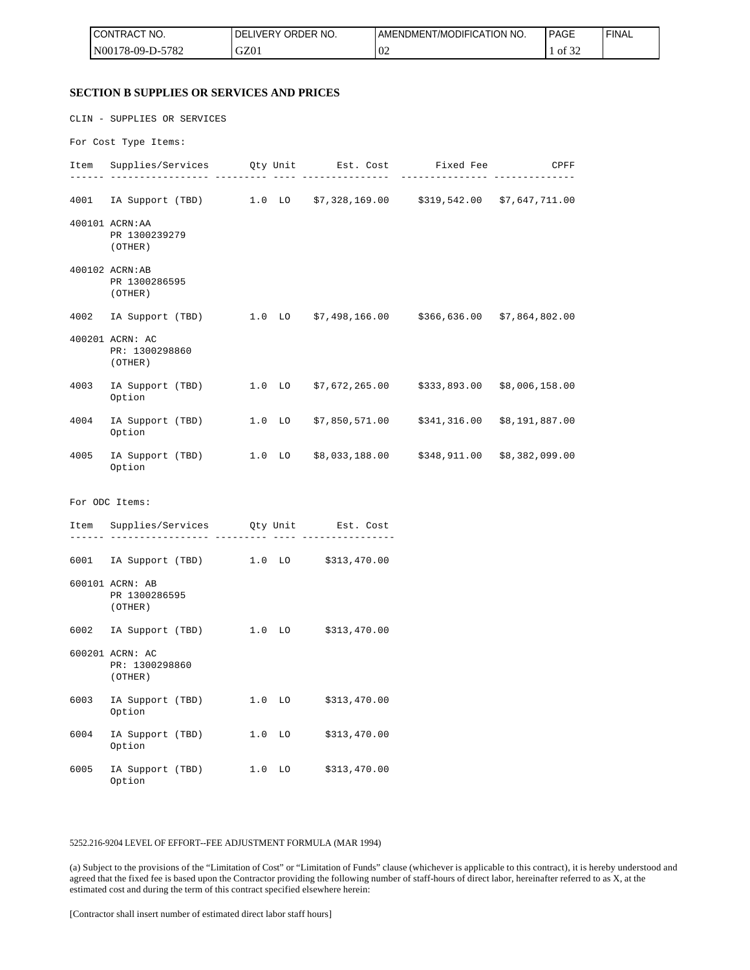| <b>CONTRACT NO.</b>     | NO.<br><b>DELIVERY ORDER</b> | AMENDMENT/MODIFICATION NO. | <b>PAGE</b> | ' FINAL |
|-------------------------|------------------------------|----------------------------|-------------|---------|
| 5782<br>$NO0178-09-D-5$ | GZ01                         | $\Omega$<br>$U_{\rm L}$    | 0t<br>ے ر   |         |

#### **SECTION B SUPPLIES OR SERVICES AND PRICES**

|      | CLIN - SUPPLIES OR SERVICES                                                       |           |                             |             |                     |
|------|-----------------------------------------------------------------------------------|-----------|-----------------------------|-------------|---------------------|
|      | For Cost Type Items:                                                              |           |                             |             |                     |
|      | Item Supplies/Services Qty Unit Est. Cost Fixed Fee CPFF                          |           |                             | ----------- | ------ ------------ |
|      | 4001 IA Support (TBD) 1.0 LO \$7,328,169.00 \$319,542.00 \$7,647,711.00           |           |                             |             |                     |
|      | 400101 ACRN: AA<br>PR 1300239279<br>(OTHER)                                       |           |                             |             |                     |
|      | 400102 ACRN:AB<br>PR 1300286595<br>(OTHER)                                        |           |                             |             |                     |
|      | 4002 IA Support (TBD) 1.0 LO \$7,498,166.00 \$366,636.00 \$7,864,802.00           |           |                             |             |                     |
|      | 400201 ACRN: AC<br>PR: 1300298860<br>(OTHER)                                      |           |                             |             |                     |
|      | 4003 IA Support (TBD) 1.0 LO \$7,672,265.00 \$333,893.00 \$8,006,158.00<br>Option |           |                             |             |                     |
|      | 4004 IA Support (TBD) 1.0 LO \$7,850,571.00 \$341,316.00 \$8,191,887.00<br>Option |           |                             |             |                     |
|      | 4005 IA Support (TBD) 1.0 LO \$8,033,188.00 \$348,911.00 \$8,382,099.00<br>Option |           |                             |             |                     |
|      | For ODC Items:                                                                    |           |                             |             |                     |
|      | Item Supplies/Services Qty Unit Est. Cost<br>._____ ___________________ ____      |           | . <u>----------------</u> - |             |                     |
|      | 6001 IA Support (TBD) 1.0 LO \$313,470.00                                         |           |                             |             |                     |
|      | 600101 ACRN: AB<br>PR 1300286595<br>(OTHER)                                       |           |                             |             |                     |
|      | 6002 IA Support (TBD) 1.0 LO \$313,470.00                                         |           |                             |             |                     |
|      | 600201 ACRN: AC<br>PR: 1300298860<br>(OTHER)                                      |           |                             |             |                     |
| 6003 | IA Support (TBD)<br>Option                                                        | 1.0<br>LO | \$313,470.00                |             |                     |
| 6004 | IA Support (TBD)<br>Option                                                        | 1.0<br>LO | \$313,470.00                |             |                     |
| 6005 | IA Support (TBD)<br>Option                                                        | 1.0<br>LO | \$313,470.00                |             |                     |

#### 5252.216-9204 LEVEL OF EFFORT--FEE ADJUSTMENT FORMULA (MAR 1994)

(a) Subject to the provisions of the "Limitation of Cost" or "Limitation of Funds" clause (whichever is applicable to this contract), it is hereby understood and agreed that the fixed fee is based upon the Contractor providing the following number of staff-hours of direct labor, hereinafter referred to as X, at the estimated cost and during the term of this contract specified elsewhere herein: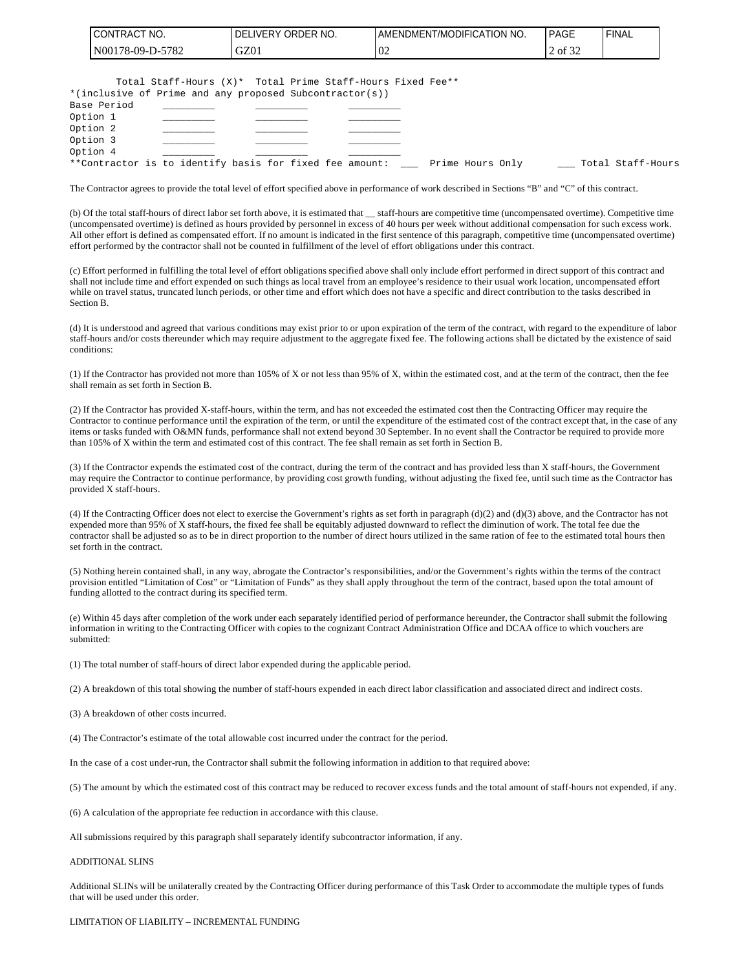| I CONTRACT NO.   | I DELIVERY ORDER NO. | <b>LAMENDMENT/MODIFICATION NO.</b> | <b>PAGE</b>   | ' FINAL |
|------------------|----------------------|------------------------------------|---------------|---------|
| N00178-09-D-5782 | GZ01                 | 0 <sub>2</sub>                     | $\circ$ of 32 |         |

|             | Total Staff-Hours (X)* Total Prime Staff-Hours Fixed Fee** |                  |                   |
|-------------|------------------------------------------------------------|------------------|-------------------|
|             | *(inclusive of Prime and any proposed Subcontractor(s))    |                  |                   |
| Base Period |                                                            |                  |                   |
| Option 1    |                                                            |                  |                   |
| Option 2    |                                                            |                  |                   |
| Option 3    |                                                            |                  |                   |
| Option 4    |                                                            |                  |                   |
|             | **Contractor is to identify basis for fixed fee amount:    | Prime Hours Only | Total Staff-Hours |

The Contractor agrees to provide the total level of effort specified above in performance of work described in Sections "B" and "C" of this contract.

(b) Of the total staff-hours of direct labor set forth above, it is estimated that \_\_ staff-hours are competitive time (uncompensated overtime). Competitive time (uncompensated overtime) is defined as hours provided by personnel in excess of 40 hours per week without additional compensation for such excess work. All other effort is defined as compensated effort. If no amount is indicated in the first sentence of this paragraph, competitive time (uncompensated overtime) effort performed by the contractor shall not be counted in fulfillment of the level of effort obligations under this contract.

(c) Effort performed in fulfilling the total level of effort obligations specified above shall only include effort performed in direct support of this contract and shall not include time and effort expended on such things as local travel from an employee's residence to their usual work location, uncompensated effort while on travel status, truncated lunch periods, or other time and effort which does not have a specific and direct contribution to the tasks described in Section B.

(d) It is understood and agreed that various conditions may exist prior to or upon expiration of the term of the contract, with regard to the expenditure of labor staff-hours and/or costs thereunder which may require adjustment to the aggregate fixed fee. The following actions shall be dictated by the existence of said conditions:

(1) If the Contractor has provided not more than 105% of X or not less than 95% of X, within the estimated cost, and at the term of the contract, then the fee shall remain as set forth in Section B.

(2) If the Contractor has provided X-staff-hours, within the term, and has not exceeded the estimated cost then the Contracting Officer may require the Contractor to continue performance until the expiration of the term, or until the expenditure of the estimated cost of the contract except that, in the case of any items or tasks funded with O&MN funds, performance shall not extend beyond 30 September. In no event shall the Contractor be required to provide more than 105% of X within the term and estimated cost of this contract. The fee shall remain as set forth in Section B.

(3) If the Contractor expends the estimated cost of the contract, during the term of the contract and has provided less than X staff-hours, the Government may require the Contractor to continue performance, by providing cost growth funding, without adjusting the fixed fee, until such time as the Contractor has provided X staff-hours.

(4) If the Contracting Officer does not elect to exercise the Government's rights as set forth in paragraph  $(d)(2)$  and  $(d)(3)$  above, and the Contractor has not expended more than 95% of X staff-hours, the fixed fee shall be equitably adjusted downward to reflect the diminution of work. The total fee due the contractor shall be adjusted so as to be in direct proportion to the number of direct hours utilized in the same ration of fee to the estimated total hours then set forth in the contract.

(5) Nothing herein contained shall, in any way, abrogate the Contractor's responsibilities, and/or the Government's rights within the terms of the contract provision entitled "Limitation of Cost" or "Limitation of Funds" as they shall apply throughout the term of the contract, based upon the total amount of funding allotted to the contract during its specified term.

(e) Within 45 days after completion of the work under each separately identified period of performance hereunder, the Contractor shall submit the following information in writing to the Contracting Officer with copies to the cognizant Contract Administration Office and DCAA office to which vouchers are submitted:

(1) The total number of staff-hours of direct labor expended during the applicable period.

(2) A breakdown of this total showing the number of staff-hours expended in each direct labor classification and associated direct and indirect costs.

(3) A breakdown of other costs incurred.

(4) The Contractor's estimate of the total allowable cost incurred under the contract for the period.

In the case of a cost under-run, the Contractor shall submit the following information in addition to that required above:

(5) The amount by which the estimated cost of this contract may be reduced to recover excess funds and the total amount of staff-hours not expended, if any.

(6) A calculation of the appropriate fee reduction in accordance with this clause.

All submissions required by this paragraph shall separately identify subcontractor information, if any.

#### ADDITIONAL SLINS

Additional SLINs will be unilaterally created by the Contracting Officer during performance of this Task Order to accommodate the multiple types of funds that will be used under this order.

#### LIMITATION OF LIABILITY – INCREMENTAL FUNDING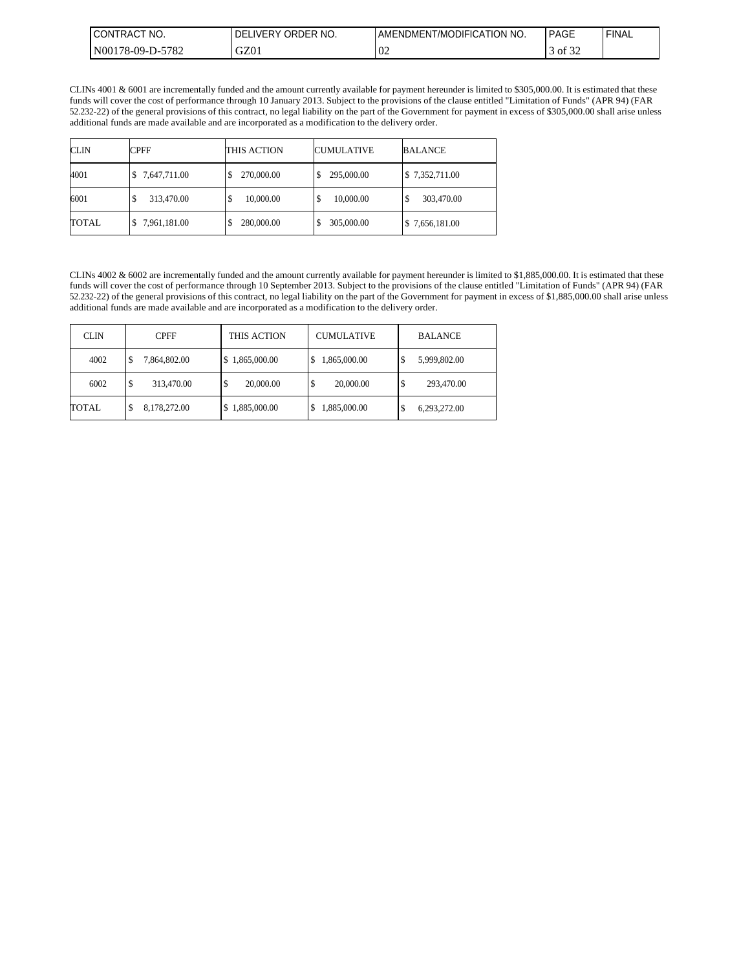| <b>ICONTRACT NO.</b>    | ORDER NO.<br><b>DELIVERY</b> | AMENDMENT/MODIFICATION NO. | PAGE          | 'FINAL |
|-------------------------|------------------------------|----------------------------|---------------|--------|
| 5782<br>$NO0178-09-D-5$ | GZ01                         | $\Omega$<br>VZ.            | 0.22<br>of 32 |        |

CLINs 4001 & 6001 are incrementally funded and the amount currently available for payment hereunder is limited to \$305,000.00. It is estimated that these funds will cover the cost of performance through 10 January 2013. Subject to the provisions of the clause entitled "Limitation of Funds" (APR 94) (FAR 52.232-22) of the general provisions of this contract, no legal liability on the part of the Government for payment in excess of \$305,000.00 shall arise unless additional funds are made available and are incorporated as a modification to the delivery order.

| <b>CLIN</b>  | <b>CPFF</b>     | THIS ACTION    | <b>CUMULATIVE</b> | <b>BALANCE</b>             |
|--------------|-----------------|----------------|-------------------|----------------------------|
| 4001         | 7,647,711.00    | 270,000.00     | 295,000.00        | \$7,352,711.00             |
| 6001         | 313,470.00<br>D | 10,000.00<br>S | 10,000.00<br>\$   | 303,470.00<br>Φ            |
| <b>TOTAL</b> | 7,961,181.00    | 280,000.00     | 305,000.00        | $\frac{1}{2}$ 7,656,181.00 |

CLINs 4002 & 6002 are incrementally funded and the amount currently available for payment hereunder is limited to \$1,885,000.00. It is estimated that these funds will cover the cost of performance through 10 September 2013. Subject to the provisions of the clause entitled "Limitation of Funds" (APR 94) (FAR 52.232-22) of the general provisions of this contract, no legal liability on the part of the Government for payment in excess of \$1,885,000.00 shall arise unless additional funds are made available and are incorporated as a modification to the delivery order.

| <b>CLIN</b>  | <b>CPFF</b>        | THIS ACTION     | <b>CUMULATIVE</b> | <b>BALANCE</b>    |
|--------------|--------------------|-----------------|-------------------|-------------------|
| 4002         | 7,864,802.00<br>\$ | \$1,865,000.00  | 1,865,000.00      | 5,999,802.00<br>D |
| 6002         | 313,470.00<br>S    | \$<br>20,000.00 | 20,000,00         | 293,470.00<br>D   |
| <b>TOTAL</b> | 8,178,272.00<br>S  | \$1,885,000.00  | 1,885,000.00      | 6,293,272.00<br>D |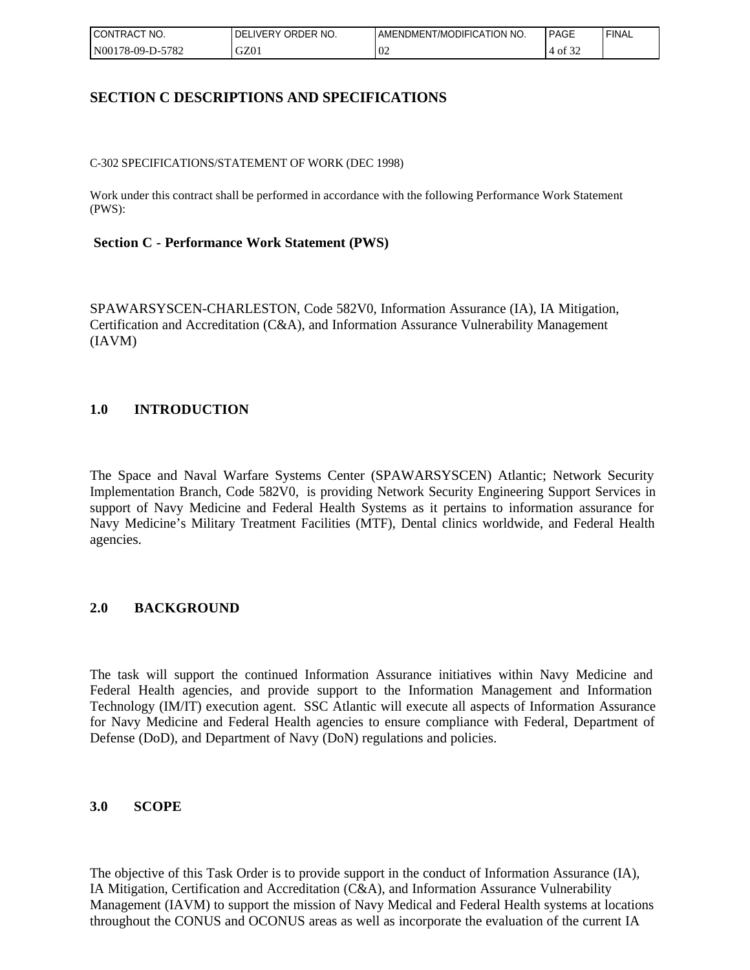| <b>CONTRACT</b><br>" NO. | ORDER NO.<br><b>DELIVERY</b> | AMENDMENT/MODIFICATION NO. | PAGE               | 'FINAL |
|--------------------------|------------------------------|----------------------------|--------------------|--------|
| N00178-09-D-5782         | GZ01                         | 02                         | 0.22<br>-of<br>ے د |        |

## **SECTION C DESCRIPTIONS AND SPECIFICATIONS**

C-302 SPECIFICATIONS/STATEMENT OF WORK (DEC 1998)

Work under this contract shall be performed in accordance with the following Performance Work Statement (PWS):

### **Section C - Performance Work Statement (PWS)**

SPAWARSYSCEN-CHARLESTON, Code 582V0, Information Assurance (IA), IA Mitigation, Certification and Accreditation (C&A), and Information Assurance Vulnerability Management (IAVM)

## **1.0 INTRODUCTION**

The Space and Naval Warfare Systems Center (SPAWARSYSCEN) Atlantic; Network Security Implementation Branch, Code 582V0, is providing Network Security Engineering Support Services in support of Navy Medicine and Federal Health Systems as it pertains to information assurance for Navy Medicine's Military Treatment Facilities (MTF), Dental clinics worldwide, and Federal Health agencies.

## **2.0 BACKGROUND**

The task will support the continued Information Assurance initiatives within Navy Medicine and Federal Health agencies, and provide support to the Information Management and Information Technology (IM/IT) execution agent. SSC Atlantic will execute all aspects of Information Assurance for Navy Medicine and Federal Health agencies to ensure compliance with Federal, Department of Defense (DoD), and Department of Navy (DoN) regulations and policies.

#### **3.0 SCOPE**

The objective of this Task Order is to provide support in the conduct of Information Assurance (IA), IA Mitigation, Certification and Accreditation (C&A), and Information Assurance Vulnerability Management (IAVM) to support the mission of Navy Medical and Federal Health systems at locations throughout the CONUS and OCONUS areas as well as incorporate the evaluation of the current IA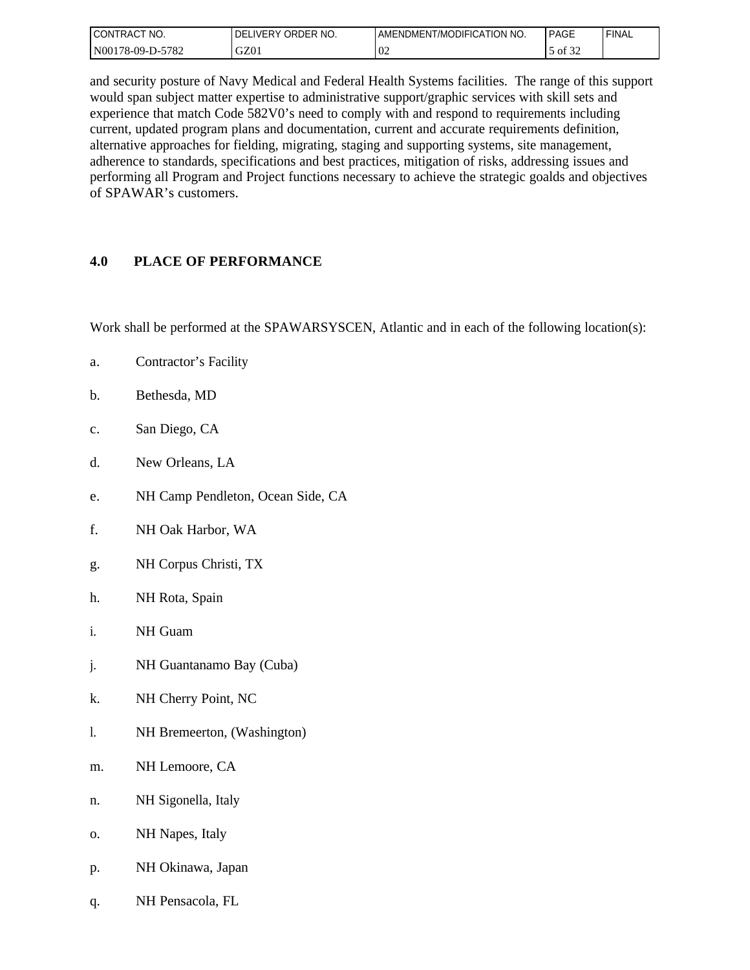| I CONTRACT<br>'NO. | I DELIVERY ORDER NO. | AMENDMENT/MODIFICATION NO. | PAGE            | <b>FINAL</b> |
|--------------------|----------------------|----------------------------|-----------------|--------------|
| N00178-09-D-5782   | GZ01                 | -02                        | 0.25<br>of $32$ |              |

and security posture of Navy Medical and Federal Health Systems facilities. The range of this support would span subject matter expertise to administrative support/graphic services with skill sets and experience that match Code 582V0's need to comply with and respond to requirements including current, updated program plans and documentation, current and accurate requirements definition, alternative approaches for fielding, migrating, staging and supporting systems, site management, adherence to standards, specifications and best practices, mitigation of risks, addressing issues and performing all Program and Project functions necessary to achieve the strategic goalds and objectives of SPAWAR's customers.

## **4.0 PLACE OF PERFORMANCE**

Work shall be performed at the SPAWARSYSCEN, Atlantic and in each of the following location(s):

- a. Contractor's Facility
- b. Bethesda, MD
- c. San Diego, CA
- d. New Orleans, LA
- e. NH Camp Pendleton, Ocean Side, CA
- f. NH Oak Harbor, WA
- g. NH Corpus Christi, TX
- h. NH Rota, Spain
- i. NH Guam
- j. NH Guantanamo Bay (Cuba)
- k. NH Cherry Point, NC
- l. NH Bremeerton, (Washington)
- m. NH Lemoore, CA
- n. NH Sigonella, Italy
- o. NH Napes, Italy
- p. NH Okinawa, Japan
- q. NH Pensacola, FL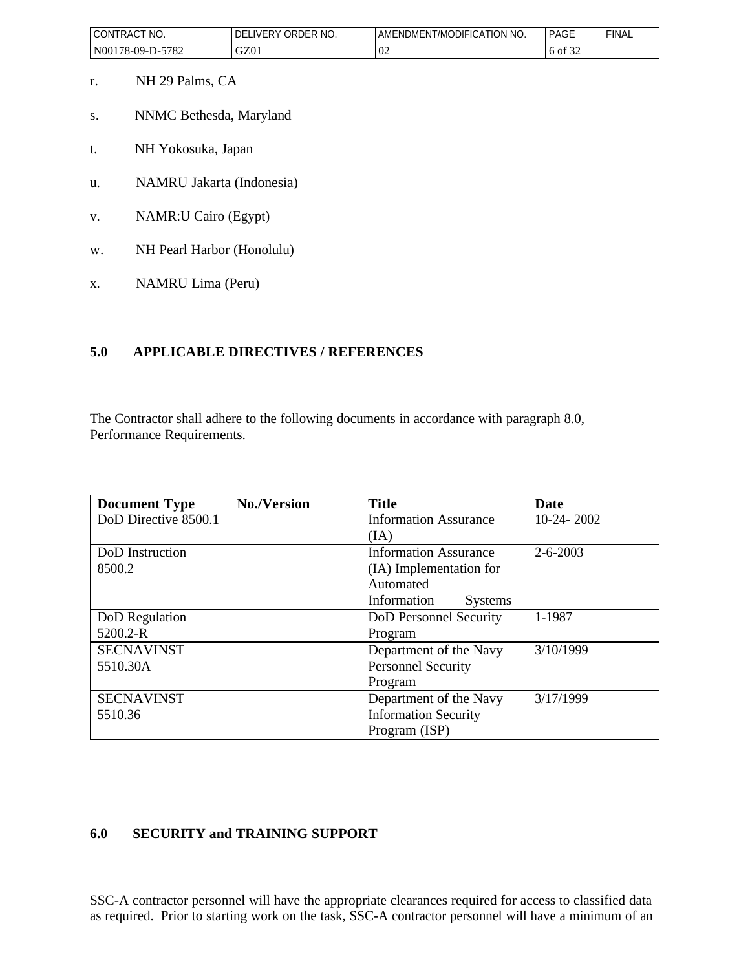| I CONTRACT<br>" NO. | ORDER NO.<br>_IVERY<br>DELI | <b>AMENDMENT/MODIFICATION NO.</b> | PAGE         | 'FINAL |
|---------------------|-----------------------------|-----------------------------------|--------------|--------|
| N00178-09-D-5782    | GZ01                        | $\Omega'$<br>∪∠                   | 0.22<br>6 of |        |

- r. NH 29 Palms, CA
- s. NNMC Bethesda, Maryland
- t. NH Yokosuka, Japan
- u. NAMRU Jakarta (Indonesia)
- v. NAMR:U Cairo (Egypt)
- w. NH Pearl Harbor (Honolulu)
- x. NAMRU Lima (Peru)

## **5.0 APPLICABLE DIRECTIVES / REFERENCES**

The Contractor shall adhere to the following documents in accordance with paragraph 8.0, Performance Requirements.

| <b>Document Type</b> | <b>No./Version</b> | <b>Title</b>                  | Date           |
|----------------------|--------------------|-------------------------------|----------------|
| DoD Directive 8500.1 |                    | <b>Information Assurance</b>  | $10-24-2002$   |
|                      |                    | (IA)                          |                |
| DoD Instruction      |                    | <b>Information Assurance</b>  | $2 - 6 - 2003$ |
| 8500.2               |                    | (IA) Implementation for       |                |
|                      |                    | Automated                     |                |
|                      |                    | Information<br><b>Systems</b> |                |
| DoD Regulation       |                    | DoD Personnel Security        | 1-1987         |
| $5200.2 - R$         |                    | Program                       |                |
| <b>SECNAVINST</b>    |                    | Department of the Navy        | 3/10/1999      |
| 5510.30A             |                    | <b>Personnel Security</b>     |                |
|                      |                    | Program                       |                |
| <b>SECNAVINST</b>    |                    | Department of the Navy        | 3/17/1999      |
| 5510.36              |                    | <b>Information Security</b>   |                |
|                      |                    | Program (ISP)                 |                |

# **6.0 SECURITY and TRAINING SUPPORT**

SSC-A contractor personnel will have the appropriate clearances required for access to classified data as required. Prior to starting work on the task, SSC-A contractor personnel will have a minimum of an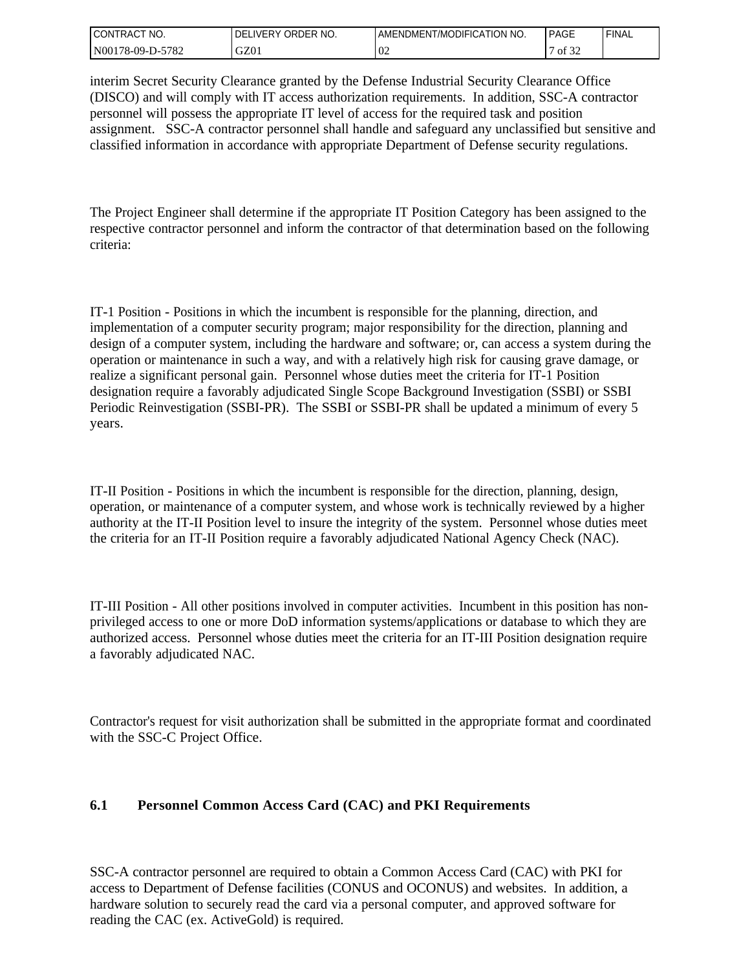| I CONTRACT<br>" NO. | ORDER NO.<br><b>LIVERY</b><br>DEL | AMENDMENT/MODIFICATION NO. | PAGE  | ' FINAL |
|---------------------|-----------------------------------|----------------------------|-------|---------|
| N00178-09-D-5782    | GZ01                              | $\Omega$<br>VZ             | of 32 |         |

interim Secret Security Clearance granted by the Defense Industrial Security Clearance Office (DISCO) and will comply with IT access authorization requirements. In addition, SSC-A contractor personnel will possess the appropriate IT level of access for the required task and position assignment. SSC-A contractor personnel shall handle and safeguard any unclassified but sensitive and classified information in accordance with appropriate Department of Defense security regulations.

The Project Engineer shall determine if the appropriate IT Position Category has been assigned to the respective contractor personnel and inform the contractor of that determination based on the following criteria:

IT-1 Position - Positions in which the incumbent is responsible for the planning, direction, and implementation of a computer security program; major responsibility for the direction, planning and design of a computer system, including the hardware and software; or, can access a system during the operation or maintenance in such a way, and with a relatively high risk for causing grave damage, or realize a significant personal gain. Personnel whose duties meet the criteria for IT-1 Position designation require a favorably adjudicated Single Scope Background Investigation (SSBI) or SSBI Periodic Reinvestigation (SSBI-PR). The SSBI or SSBI-PR shall be updated a minimum of every 5 years.

IT-II Position - Positions in which the incumbent is responsible for the direction, planning, design, operation, or maintenance of a computer system, and whose work is technically reviewed by a higher authority at the IT-II Position level to insure the integrity of the system. Personnel whose duties meet the criteria for an IT-II Position require a favorably adjudicated National Agency Check (NAC).

IT-III Position - All other positions involved in computer activities. Incumbent in this position has nonprivileged access to one or more DoD information systems/applications or database to which they are authorized access. Personnel whose duties meet the criteria for an IT-III Position designation require a favorably adjudicated NAC.

Contractor's request for visit authorization shall be submitted in the appropriate format and coordinated with the SSC-C Project Office.

## **6.1 Personnel Common Access Card (CAC) and PKI Requirements**

SSC-A contractor personnel are required to obtain a Common Access Card (CAC) with PKI for access to Department of Defense facilities (CONUS and OCONUS) and websites. In addition, a hardware solution to securely read the card via a personal computer, and approved software for reading the CAC (ex. ActiveGold) is required.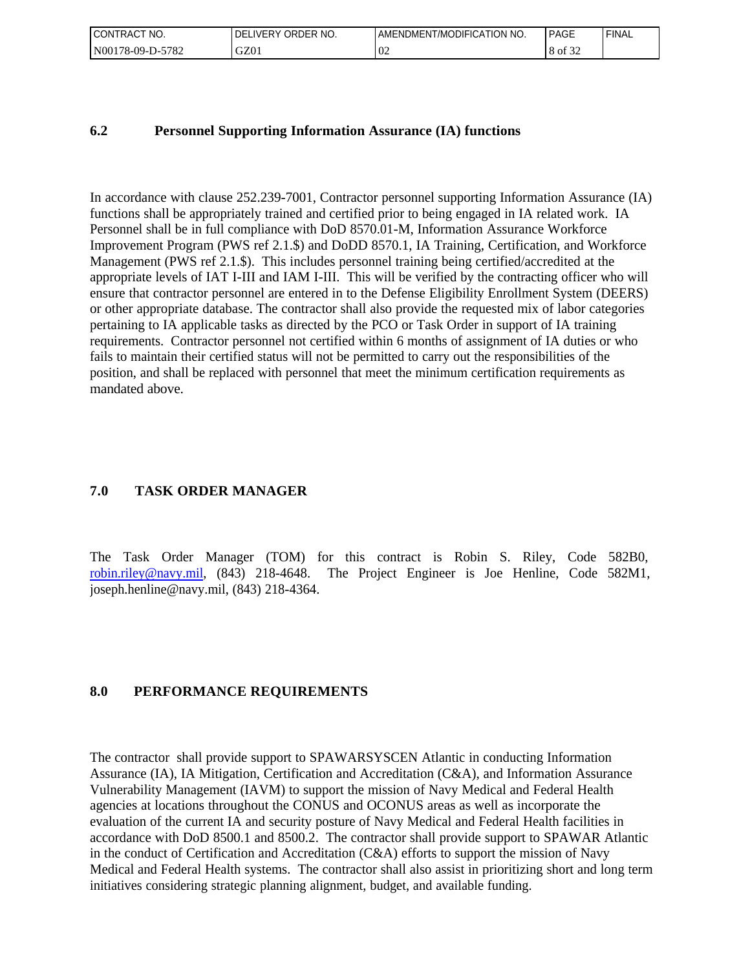| $\sim$<br>" NO.<br><b>CONTRACT</b> | ORDER NO.<br><b>DELIVERY</b> | AMENDMENT/MODIFICATION NO. | PAGE            | 'FINAL |
|------------------------------------|------------------------------|----------------------------|-----------------|--------|
| 5782<br>$N00178-09-D-2$            | GZ01                         | U2                         | 0.22<br>ΟĪ<br>8 |        |

#### **6.2 Personnel Supporting Information Assurance (IA) functions**

In accordance with clause 252.239-7001, Contractor personnel supporting Information Assurance (IA) functions shall be appropriately trained and certified prior to being engaged in IA related work. IA Personnel shall be in full compliance with DoD 8570.01-M, Information Assurance Workforce Improvement Program (PWS ref 2.1.\$) and DoDD 8570.1, IA Training, Certification, and Workforce Management (PWS ref 2.1.\$). This includes personnel training being certified/accredited at the appropriate levels of IAT I-III and IAM I-III. This will be verified by the contracting officer who will ensure that contractor personnel are entered in to the Defense Eligibility Enrollment System (DEERS) or other appropriate database. The contractor shall also provide the requested mix of labor categories pertaining to IA applicable tasks as directed by the PCO or Task Order in support of IA training requirements. Contractor personnel not certified within 6 months of assignment of IA duties or who fails to maintain their certified status will not be permitted to carry out the responsibilities of the position, and shall be replaced with personnel that meet the minimum certification requirements as mandated above.

### **7.0 TASK ORDER MANAGER**

The Task Order Manager (TOM) for this contract is Robin S. Riley, Code 582B0, [robin.riley@navy.mil](mailto:robin.riley@navy.mil), (843) 218-4648. The Project Engineer is Joe Henline, Code 582M1, joseph.henline@navy.mil, (843) 218-4364.

#### **8.0 PERFORMANCE REQUIREMENTS**

The contractor shall provide support to SPAWARSYSCEN Atlantic in conducting Information Assurance (IA), IA Mitigation, Certification and Accreditation (C&A), and Information Assurance Vulnerability Management (IAVM) to support the mission of Navy Medical and Federal Health agencies at locations throughout the CONUS and OCONUS areas as well as incorporate the evaluation of the current IA and security posture of Navy Medical and Federal Health facilities in accordance with DoD 8500.1 and 8500.2. The contractor shall provide support to SPAWAR Atlantic in the conduct of Certification and Accreditation (C&A) efforts to support the mission of Navy Medical and Federal Health systems. The contractor shall also assist in prioritizing short and long term initiatives considering strategic planning alignment, budget, and available funding.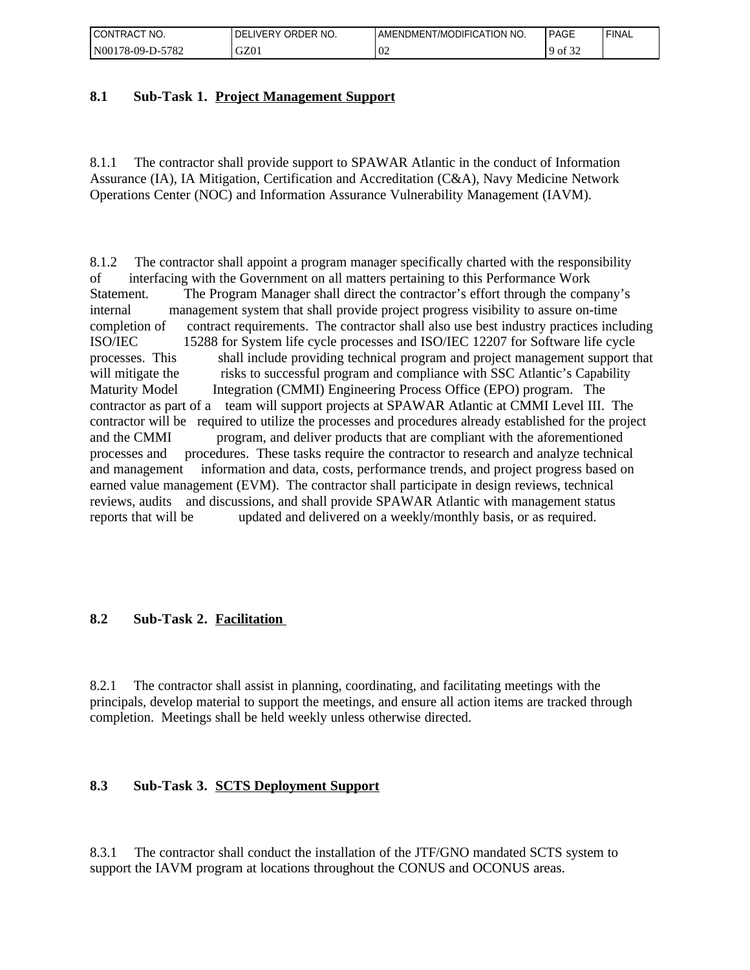| <b>CONTRACT</b><br>NO.<br>$\sim$ | ORDER NO.<br>∟IVERY<br>DFI | AMENDMENT/MODIFICATION NO. | PAGE              | 'FINAL |
|----------------------------------|----------------------------|----------------------------|-------------------|--------|
| -5782<br>  N00178-09-D-5         | GZ01                       | $\Omega$<br>VZ             | 0.22<br>0t<br>ے ر |        |

## **8.1 Sub-Task 1. Project Management Support**

8.1.1 The contractor shall provide support to SPAWAR Atlantic in the conduct of Information Assurance (IA), IA Mitigation, Certification and Accreditation (C&A), Navy Medicine Network Operations Center (NOC) and Information Assurance Vulnerability Management (IAVM).

8.1.2 The contractor shall appoint a program manager specifically charted with the responsibility of interfacing with the Government on all matters pertaining to this Performance Work Statement. The Program Manager shall direct the contractor's effort through the company's internal management system that shall provide project progress visibility to assure on-time completion of contract requirements. The contractor shall also use best industry practices including ISO/IEC 15288 for System life cycle processes and ISO/IEC 12207 for Software life cycle processes. This shall include providing technical program and project management support that will mitigate the risks to successful program and compliance with SSC Atlantic's Capability Maturity Model Integration (CMMI) Engineering Process Office (EPO) program. The contractor as part of a team will support projects at SPAWAR Atlantic at CMMI Level III. The contractor will be required to utilize the processes and procedures already established for the project and the CMMI program, and deliver products that are compliant with the aforementioned processes and procedures. These tasks require the contractor to research and analyze technical and management information and data, costs, performance trends, and project progress based on earned value management (EVM). The contractor shall participate in design reviews, technical reviews, audits and discussions, and shall provide SPAWAR Atlantic with management status reports that will be updated and delivered on a weekly/monthly basis, or as required.

## **8.2 Sub-Task 2. Facilitation**

8.2.1 The contractor shall assist in planning, coordinating, and facilitating meetings with the principals, develop material to support the meetings, and ensure all action items are tracked through completion. Meetings shall be held weekly unless otherwise directed.

## **8.3 Sub-Task 3. SCTS Deployment Support**

8.3.1 The contractor shall conduct the installation of the JTF/GNO mandated SCTS system to support the IAVM program at locations throughout the CONUS and OCONUS areas.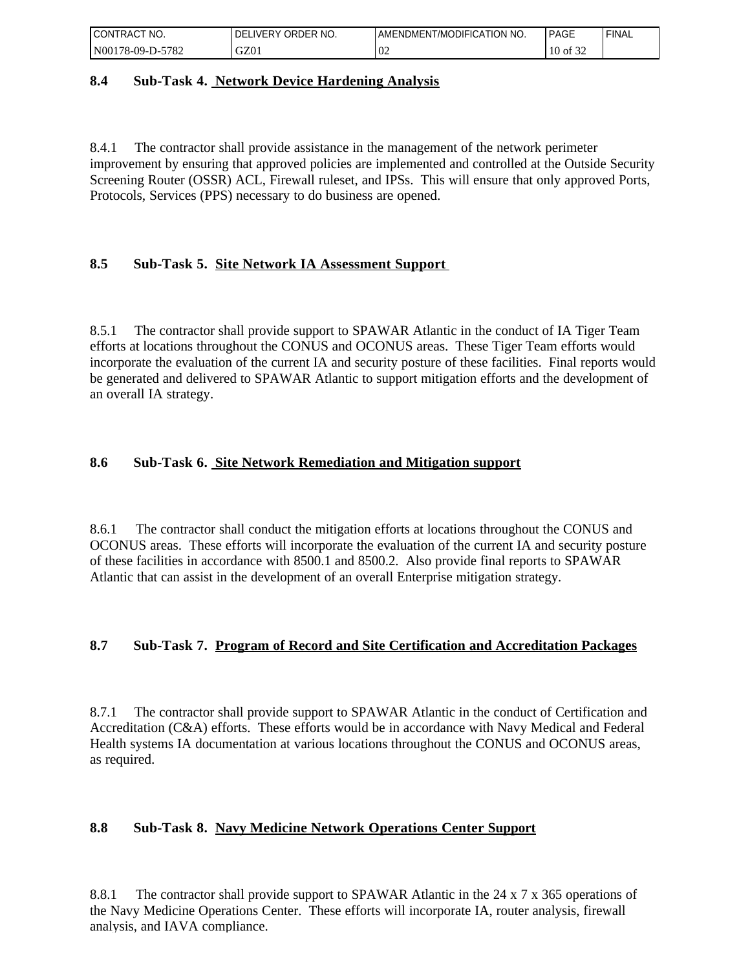| NO.<br>CONTRAC <sub>1</sub> | ORDER NO.<br><b>LIVERY</b><br>DEL | AMENDMENT/MODIFICATION NO. | PAGE     | 'FINAL |
|-----------------------------|-----------------------------------|----------------------------|----------|--------|
| N00178-09-D-5782            | GZ01                              | $\Omega$<br>VZ             | 10 of 32 |        |

### **8.4 Sub-Task 4. Network Device Hardening Analysis**

8.4.1 The contractor shall provide assistance in the management of the network perimeter improvement by ensuring that approved policies are implemented and controlled at the Outside Security Screening Router (OSSR) ACL, Firewall ruleset, and IPSs. This will ensure that only approved Ports, Protocols, Services (PPS) necessary to do business are opened.

## **8.5 Sub-Task 5. Site Network IA Assessment Support**

8.5.1 The contractor shall provide support to SPAWAR Atlantic in the conduct of IA Tiger Team efforts at locations throughout the CONUS and OCONUS areas. These Tiger Team efforts would incorporate the evaluation of the current IA and security posture of these facilities. Final reports would be generated and delivered to SPAWAR Atlantic to support mitigation efforts and the development of an overall IA strategy.

### **8.6 Sub-Task 6. Site Network Remediation and Mitigation support**

8.6.1 The contractor shall conduct the mitigation efforts at locations throughout the CONUS and OCONUS areas. These efforts will incorporate the evaluation of the current IA and security posture of these facilities in accordance with 8500.1 and 8500.2. Also provide final reports to SPAWAR Atlantic that can assist in the development of an overall Enterprise mitigation strategy.

#### **8.7 Sub-Task 7. Program of Record and Site Certification and Accreditation Packages**

8.7.1 The contractor shall provide support to SPAWAR Atlantic in the conduct of Certification and Accreditation (C&A) efforts. These efforts would be in accordance with Navy Medical and Federal Health systems IA documentation at various locations throughout the CONUS and OCONUS areas, as required.

## **8.8 Sub-Task 8. Navy Medicine Network Operations Center Support**

8.8.1 The contractor shall provide support to SPAWAR Atlantic in the 24 x 7 x 365 operations of the Navy Medicine Operations Center. These efforts will incorporate IA, router analysis, firewall analysis, and IAVA compliance.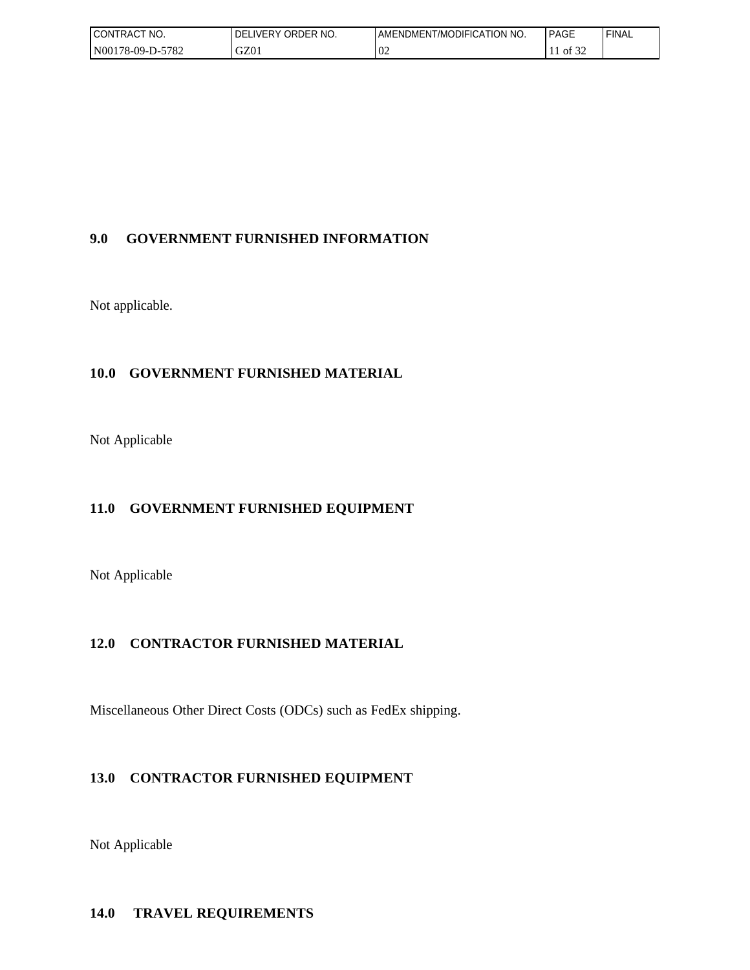| <b>CONTRACT</b><br>" NO. | I DELIVERY ORDER NO. | AMENDMENT/MODIFICATION NO. | <b>PAGE</b>   | ' FINAL |
|--------------------------|----------------------|----------------------------|---------------|---------|
| N00178-09-D-5782         | GZ01                 | $\sim$<br>U2               | c oo<br>of 32 |         |

## **9.0 GOVERNMENT FURNISHED INFORMATION**

Not applicable.

## **10.0 GOVERNMENT FURNISHED MATERIAL**

Not Applicable

## **11.0 GOVERNMENT FURNISHED EQUIPMENT**

Not Applicable

## **12.0 CONTRACTOR FURNISHED MATERIAL**

Miscellaneous Other Direct Costs (ODCs) such as FedEx shipping.

# **13.0 CONTRACTOR FURNISHED EQUIPMENT**

Not Applicable

## **14.0 TRAVEL REQUIREMENTS**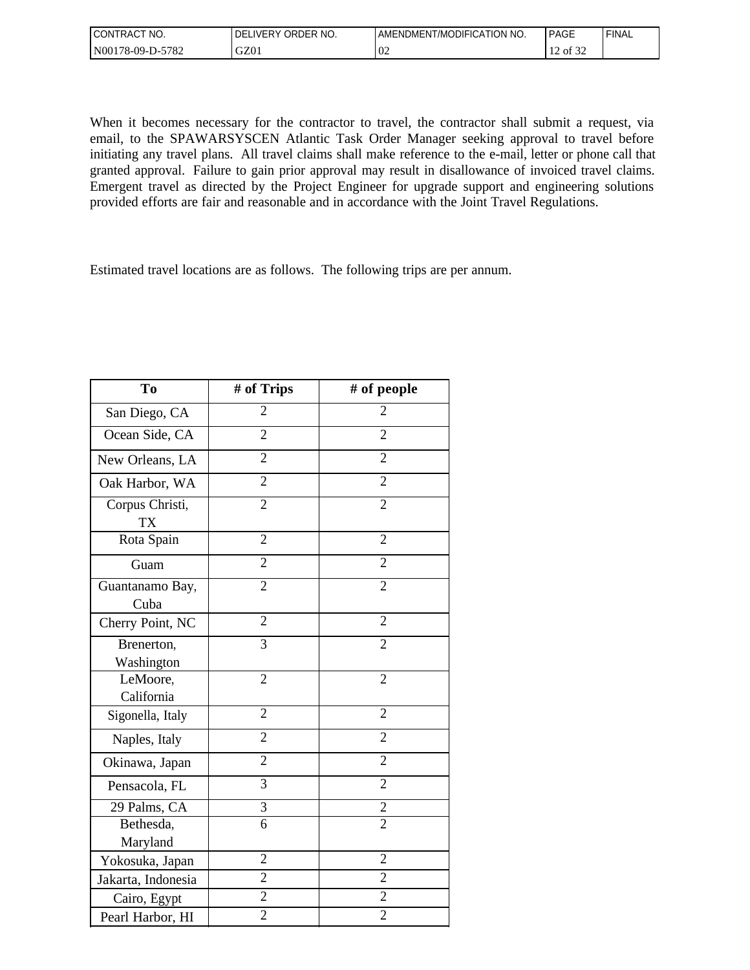| <b>CONTRACT</b><br>'NO.  | ORDER NO.<br><b>DELIVERY</b> | AMENDMENT/MODIFICATION NO. | <b>PAGE</b>                  | 'FINAL |
|--------------------------|------------------------------|----------------------------|------------------------------|--------|
| $-5782$<br>N00178-09-D-5 | GZ01                         | $\sim$<br>U2               | 0.25<br>$\sim$<br>of 32<br>∸ |        |

When it becomes necessary for the contractor to travel, the contractor shall submit a request, via email, to the SPAWARSYSCEN Atlantic Task Order Manager seeking approval to travel before initiating any travel plans. All travel claims shall make reference to the e-mail, letter or phone call that granted approval. Failure to gain prior approval may result in disallowance of invoiced travel claims. Emergent travel as directed by the Project Engineer for upgrade support and engineering solutions provided efforts are fair and reasonable and in accordance with the Joint Travel Regulations.

Estimated travel locations are as follows. The following trips are per annum.

| To                           | # of Trips     | # of people    |
|------------------------------|----------------|----------------|
| San Diego, CA                | $\overline{2}$ | $\overline{2}$ |
| Ocean Side, CA               | $\overline{2}$ | $\overline{2}$ |
| New Orleans, LA              | $\overline{2}$ | $\overline{2}$ |
| Oak Harbor, WA               | $\overline{2}$ | $\overline{2}$ |
| Corpus Christi,<br><b>TX</b> | $\overline{2}$ | $\overline{2}$ |
| Rota Spain                   | $\overline{2}$ | $\overline{2}$ |
| Guam                         | $\overline{2}$ | $\overline{2}$ |
| Guantanamo Bay,<br>Cuba      | $\overline{2}$ | $\overline{2}$ |
| Cherry Point, NC             | $\overline{2}$ | $\overline{2}$ |
| Brenerton,<br>Washington     | 3              | $\overline{2}$ |
| LeMoore,<br>California       | $\overline{2}$ | $\overline{2}$ |
| Sigonella, Italy             | $\overline{2}$ | $\overline{2}$ |
| Naples, Italy                | $\overline{2}$ | $\overline{2}$ |
| Okinawa, Japan               | $\overline{2}$ | $\overline{2}$ |
| Pensacola, FL                | 3              | $\overline{2}$ |
| 29 Palms, CA                 | $\overline{3}$ | $\overline{2}$ |
| Bethesda,                    | $\overline{6}$ | $\overline{2}$ |
| Maryland                     |                |                |
| Yokosuka, Japan              | $\overline{2}$ | $\overline{2}$ |
| Jakarta, Indonesia           | $\overline{2}$ | $\overline{2}$ |
| Cairo, Egypt                 | $\overline{2}$ | $\overline{2}$ |
| Pearl Harbor, HI             | $\overline{2}$ | $\overline{2}$ |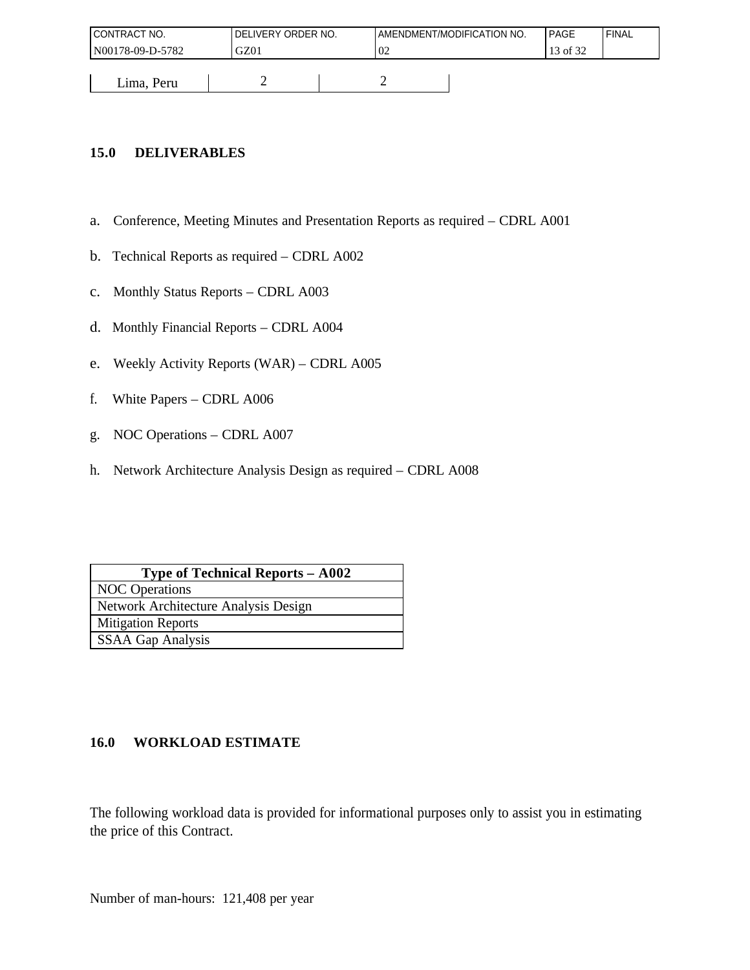| <b>I CONTRACT NO.</b> | DELIVERY ORDER NO. |    | AMENDMENT/MODIFICATION NO. | PAGE     | ' FINAL |
|-----------------------|--------------------|----|----------------------------|----------|---------|
| N00178-09-D-5782      | GZ01               | 02 |                            | 13 of 32 |         |
|                       |                    |    |                            |          |         |
| Lima, Peru            |                    | ∽  |                            |          |         |

## **15.0 DELIVERABLES**

- a. Conference, Meeting Minutes and Presentation Reports as required CDRL A001
- b. Technical Reports as required CDRL A002
- c. Monthly Status Reports CDRL A003
- d. Monthly Financial Reports CDRL A004
- e. Weekly Activity Reports (WAR) CDRL A005
- f. White Papers CDRL A006
- g. NOC Operations CDRL A007
- h. Network Architecture Analysis Design as required CDRL A008

| <b>Type of Technical Reports - A002</b> |
|-----------------------------------------|
| <b>NOC</b> Operations                   |
| Network Architecture Analysis Design    |
| <b>Mitigation Reports</b>               |
| <b>SSAA Gap Analysis</b>                |

## **16.0 WORKLOAD ESTIMATE**

The following workload data is provided for informational purposes only to assist you in estimating the price of this Contract.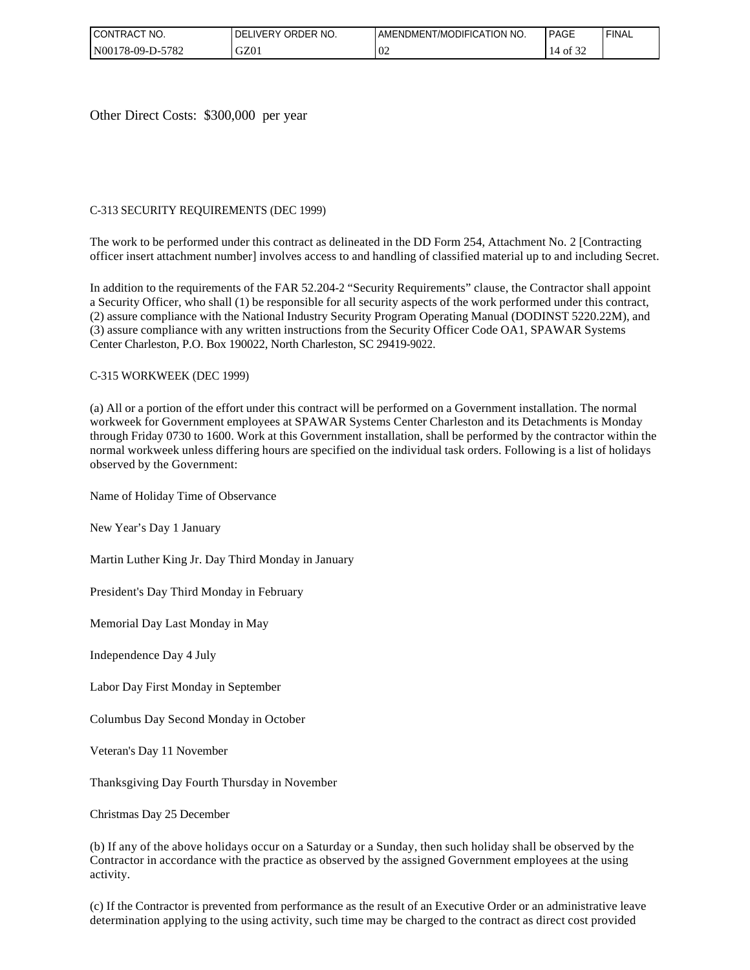| <b>CONTRACT</b><br>'NO. | ORDER NO.<br>LIVERY.<br>DFI | AMENDMENT/MODIFICATION NO. | <b>PAGE</b>                         | ' FINAL |
|-------------------------|-----------------------------|----------------------------|-------------------------------------|---------|
| -5782<br>N00178-09-D-5  | GZ01                        | $\Omega$<br>VZ             | $\sim$ $\sim$ $\sim$<br>of 32<br>14 |         |

Other Direct Costs: \$300,000 per year

#### C-313 SECURITY REQUIREMENTS (DEC 1999)

The work to be performed under this contract as delineated in the DD Form 254, Attachment No. 2 [Contracting officer insert attachment number] involves access to and handling of classified material up to and including Secret.

In addition to the requirements of the FAR 52.204-2 "Security Requirements" clause, the Contractor shall appoint a Security Officer, who shall (1) be responsible for all security aspects of the work performed under this contract, (2) assure compliance with the National Industry Security Program Operating Manual (DODINST 5220.22M), and (3) assure compliance with any written instructions from the Security Officer Code OA1, SPAWAR Systems Center Charleston, P.O. Box 190022, North Charleston, SC 29419-9022.

#### C-315 WORKWEEK (DEC 1999)

(a) All or a portion of the effort under this contract will be performed on a Government installation. The normal workweek for Government employees at SPAWAR Systems Center Charleston and its Detachments is Monday through Friday 0730 to 1600. Work at this Government installation, shall be performed by the contractor within the normal workweek unless differing hours are specified on the individual task orders. Following is a list of holidays observed by the Government:

Name of Holiday Time of Observance

New Year's Day 1 January

Martin Luther King Jr. Day Third Monday in January

President's Day Third Monday in February

Memorial Day Last Monday in May

Independence Day 4 July

Labor Day First Monday in September

Columbus Day Second Monday in October

Veteran's Day 11 November

Thanksgiving Day Fourth Thursday in November

Christmas Day 25 December

(b) If any of the above holidays occur on a Saturday or a Sunday, then such holiday shall be observed by the Contractor in accordance with the practice as observed by the assigned Government employees at the using activity.

(c) If the Contractor is prevented from performance as the result of an Executive Order or an administrative leave determination applying to the using activity, such time may be charged to the contract as direct cost provided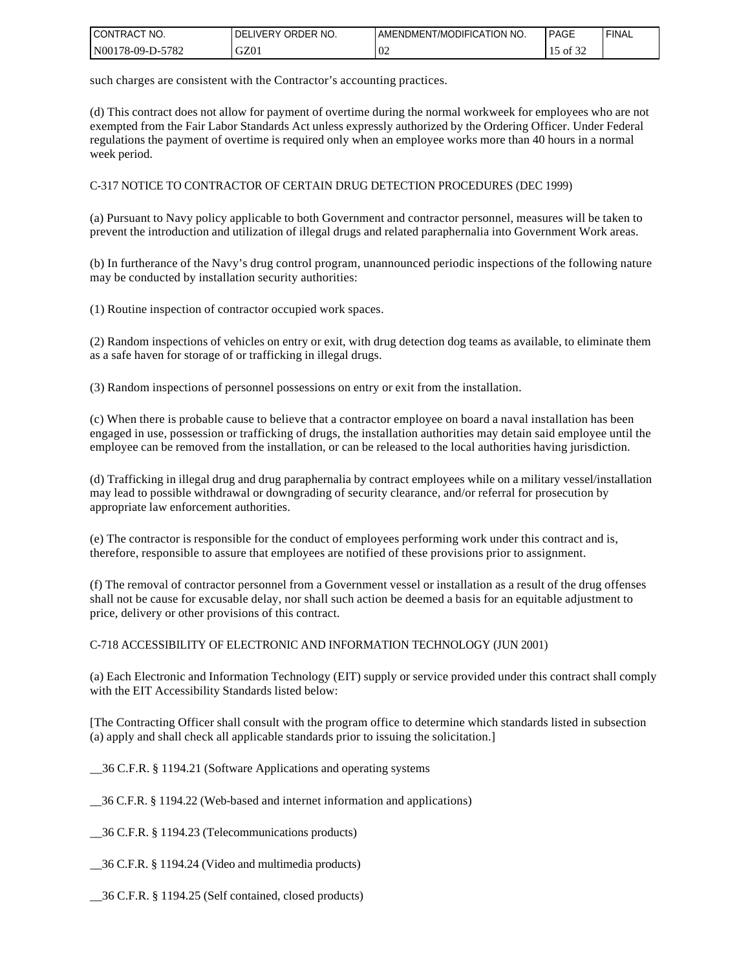| I CONTRACT<br>" NO. | ORDER NO.<br><b>DELIVERY</b> | I AMENDMENT/MODIFICATION NO. | PAGE                      | ' FINAL |
|---------------------|------------------------------|------------------------------|---------------------------|---------|
| N00178-09-D-5782    | GZ01                         | $\Omega$<br>UZ               | $\sim$ $\sim$<br>15 of 32 |         |

such charges are consistent with the Contractor's accounting practices.

(d) This contract does not allow for payment of overtime during the normal workweek for employees who are not exempted from the Fair Labor Standards Act unless expressly authorized by the Ordering Officer. Under Federal regulations the payment of overtime is required only when an employee works more than 40 hours in a normal week period.

C-317 NOTICE TO CONTRACTOR OF CERTAIN DRUG DETECTION PROCEDURES (DEC 1999)

(a) Pursuant to Navy policy applicable to both Government and contractor personnel, measures will be taken to prevent the introduction and utilization of illegal drugs and related paraphernalia into Government Work areas.

(b) In furtherance of the Navy's drug control program, unannounced periodic inspections of the following nature may be conducted by installation security authorities:

(1) Routine inspection of contractor occupied work spaces.

(2) Random inspections of vehicles on entry or exit, with drug detection dog teams as available, to eliminate them as a safe haven for storage of or trafficking in illegal drugs.

(3) Random inspections of personnel possessions on entry or exit from the installation.

(c) When there is probable cause to believe that a contractor employee on board a naval installation has been engaged in use, possession or trafficking of drugs, the installation authorities may detain said employee until the employee can be removed from the installation, or can be released to the local authorities having jurisdiction.

(d) Trafficking in illegal drug and drug paraphernalia by contract employees while on a military vessel/installation may lead to possible withdrawal or downgrading of security clearance, and/or referral for prosecution by appropriate law enforcement authorities.

(e) The contractor is responsible for the conduct of employees performing work under this contract and is, therefore, responsible to assure that employees are notified of these provisions prior to assignment.

(f) The removal of contractor personnel from a Government vessel or installation as a result of the drug offenses shall not be cause for excusable delay, nor shall such action be deemed a basis for an equitable adjustment to price, delivery or other provisions of this contract.

C-718 ACCESSIBILITY OF ELECTRONIC AND INFORMATION TECHNOLOGY (JUN 2001)

(a) Each Electronic and Information Technology (EIT) supply or service provided under this contract shall comply with the EIT Accessibility Standards listed below:

[The Contracting Officer shall consult with the program office to determine which standards listed in subsection (a) apply and shall check all applicable standards prior to issuing the solicitation.]

\_\_36 C.F.R. § 1194.21 (Software Applications and operating systems

\_\_36 C.F.R. § 1194.22 (Web-based and internet information and applications)

\_\_36 C.F.R. § 1194.23 (Telecommunications products)

\_\_36 C.F.R. § 1194.24 (Video and multimedia products)

\_\_36 C.F.R. § 1194.25 (Self contained, closed products)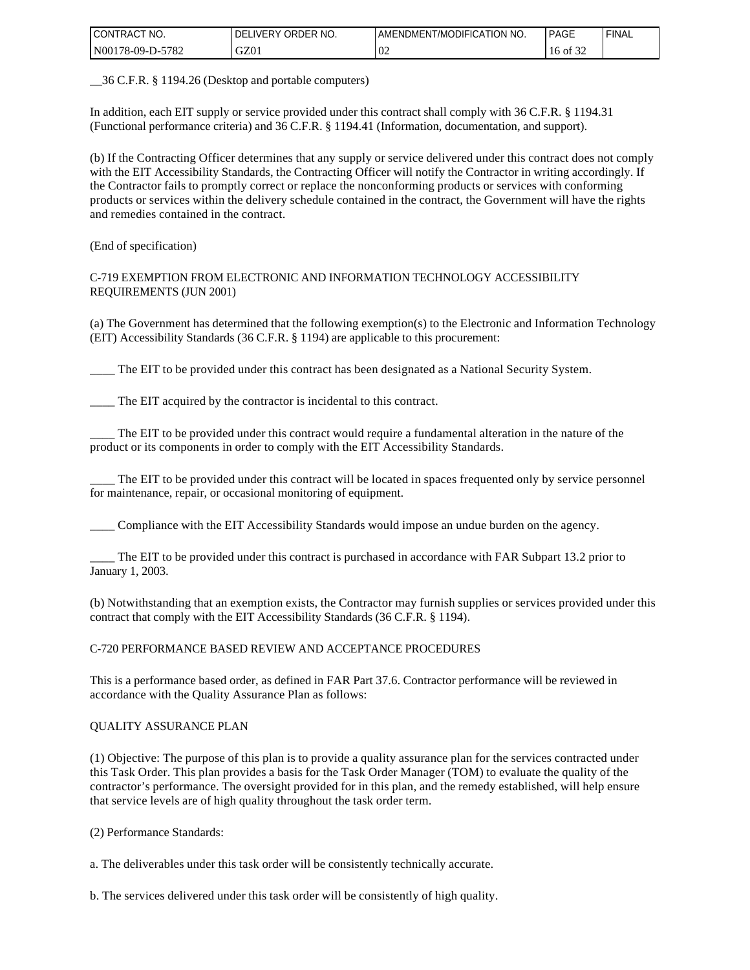| I CONTRACT<br>" NO. | ORDER NO.<br><b>DELIVERY</b> | I AMENDMENT/MODIFICATION NO. | PAGE     | ' FINAL |
|---------------------|------------------------------|------------------------------|----------|---------|
| N00178-09-D-5782    | GZ01                         | $\Omega$<br>UZ               | 16 of 32 |         |

\_\_36 C.F.R. § 1194.26 (Desktop and portable computers)

In addition, each EIT supply or service provided under this contract shall comply with 36 C.F.R. § 1194.31 (Functional performance criteria) and 36 C.F.R. § 1194.41 (Information, documentation, and support).

(b) If the Contracting Officer determines that any supply or service delivered under this contract does not comply with the EIT Accessibility Standards, the Contracting Officer will notify the Contractor in writing accordingly. If the Contractor fails to promptly correct or replace the nonconforming products or services with conforming products or services within the delivery schedule contained in the contract, the Government will have the rights and remedies contained in the contract.

(End of specification)

C-719 EXEMPTION FROM ELECTRONIC AND INFORMATION TECHNOLOGY ACCESSIBILITY REQUIREMENTS (JUN 2001)

(a) The Government has determined that the following exemption(s) to the Electronic and Information Technology (EIT) Accessibility Standards (36 C.F.R. § 1194) are applicable to this procurement:

\_\_\_\_ The EIT to be provided under this contract has been designated as a National Security System.

The EIT acquired by the contractor is incidental to this contract.

The EIT to be provided under this contract would require a fundamental alteration in the nature of the product or its components in order to comply with the EIT Accessibility Standards.

The EIT to be provided under this contract will be located in spaces frequented only by service personnel for maintenance, repair, or occasional monitoring of equipment.

\_\_\_\_ Compliance with the EIT Accessibility Standards would impose an undue burden on the agency.

\_\_\_\_ The EIT to be provided under this contract is purchased in accordance with FAR Subpart 13.2 prior to January 1, 2003.

(b) Notwithstanding that an exemption exists, the Contractor may furnish supplies or services provided under this contract that comply with the EIT Accessibility Standards (36 C.F.R. § 1194).

C-720 PERFORMANCE BASED REVIEW AND ACCEPTANCE PROCEDURES

This is a performance based order, as defined in FAR Part 37.6. Contractor performance will be reviewed in accordance with the Quality Assurance Plan as follows:

#### QUALITY ASSURANCE PLAN

(1) Objective: The purpose of this plan is to provide a quality assurance plan for the services contracted under this Task Order. This plan provides a basis for the Task Order Manager (TOM) to evaluate the quality of the contractor's performance. The oversight provided for in this plan, and the remedy established, will help ensure that service levels are of high quality throughout the task order term.

(2) Performance Standards:

a. The deliverables under this task order will be consistently technically accurate.

b. The services delivered under this task order will be consistently of high quality.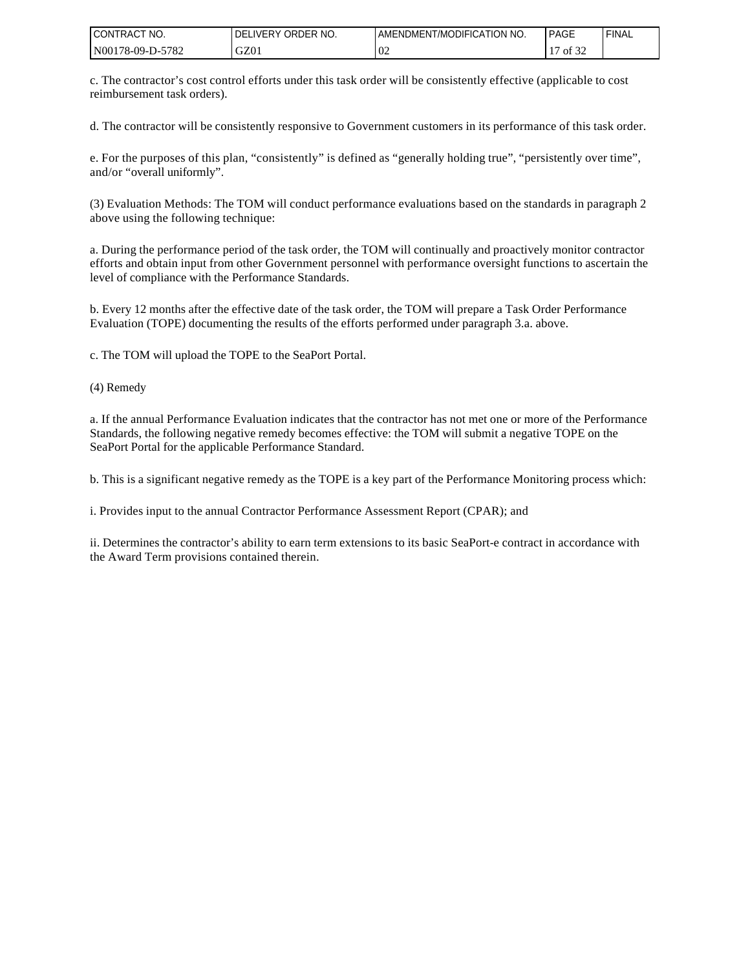| I CONTRACT NO.   | <b>IDELIVERY ORDER NO.</b> | I AMENDMENT/MODIFICATION NO. | <b>PAGE</b> | ' FINAL |
|------------------|----------------------------|------------------------------|-------------|---------|
| N00178-09-D-5782 | GZ01                       | 0 <sup>2</sup>               | of 32       |         |

c. The contractor's cost control efforts under this task order will be consistently effective (applicable to cost reimbursement task orders).

d. The contractor will be consistently responsive to Government customers in its performance of this task order.

e. For the purposes of this plan, "consistently" is defined as "generally holding true", "persistently over time", and/or "overall uniformly".

(3) Evaluation Methods: The TOM will conduct performance evaluations based on the standards in paragraph 2 above using the following technique:

a. During the performance period of the task order, the TOM will continually and proactively monitor contractor efforts and obtain input from other Government personnel with performance oversight functions to ascertain the level of compliance with the Performance Standards.

b. Every 12 months after the effective date of the task order, the TOM will prepare a Task Order Performance Evaluation (TOPE) documenting the results of the efforts performed under paragraph 3.a. above.

c. The TOM will upload the TOPE to the SeaPort Portal.

(4) Remedy

a. If the annual Performance Evaluation indicates that the contractor has not met one or more of the Performance Standards, the following negative remedy becomes effective: the TOM will submit a negative TOPE on the SeaPort Portal for the applicable Performance Standard.

b. This is a significant negative remedy as the TOPE is a key part of the Performance Monitoring process which:

i. Provides input to the annual Contractor Performance Assessment Report (CPAR); and

ii. Determines the contractor's ability to earn term extensions to its basic SeaPort-e contract in accordance with the Award Term provisions contained therein.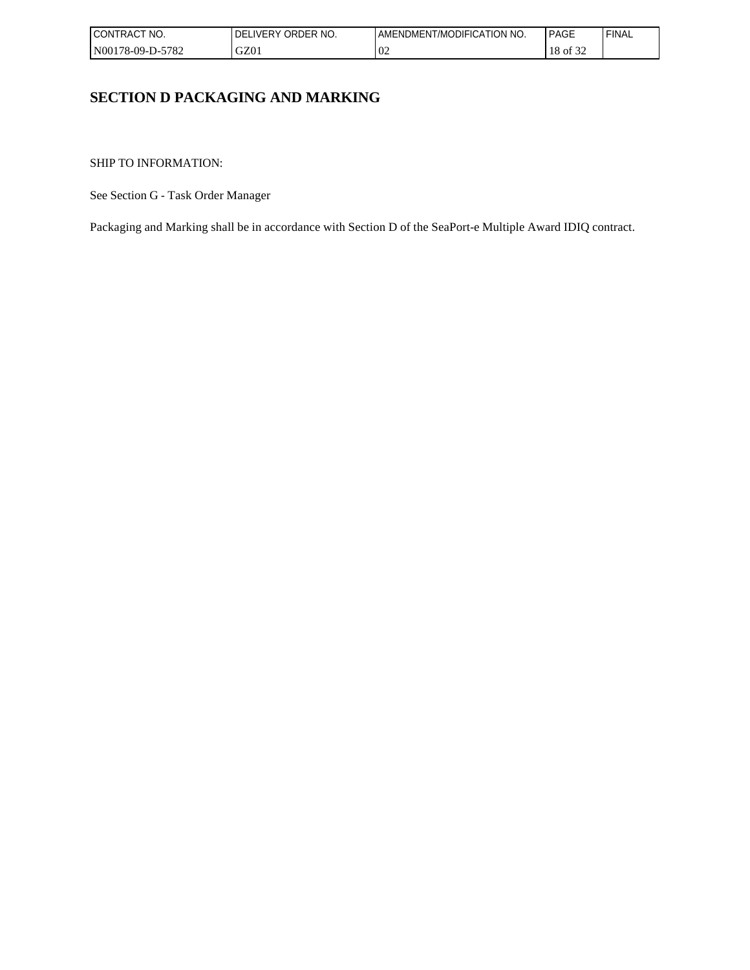| I CONTRACT<br>NO. | ORDER NO.<br>LIVERY<br>DEL | AMENDMENT/MODIFICATION NO. | <b>PAGE</b>                 | 'FINAL |
|-------------------|----------------------------|----------------------------|-----------------------------|--------|
| N00178-09-D-5782  | GZ01                       | 02                         | $c \wedge c$<br>18<br>of 32 |        |

# **SECTION D PACKAGING AND MARKING**

SHIP TO INFORMATION:

See Section G - Task Order Manager

Packaging and Marking shall be in accordance with Section D of the SeaPort-e Multiple Award IDIQ contract.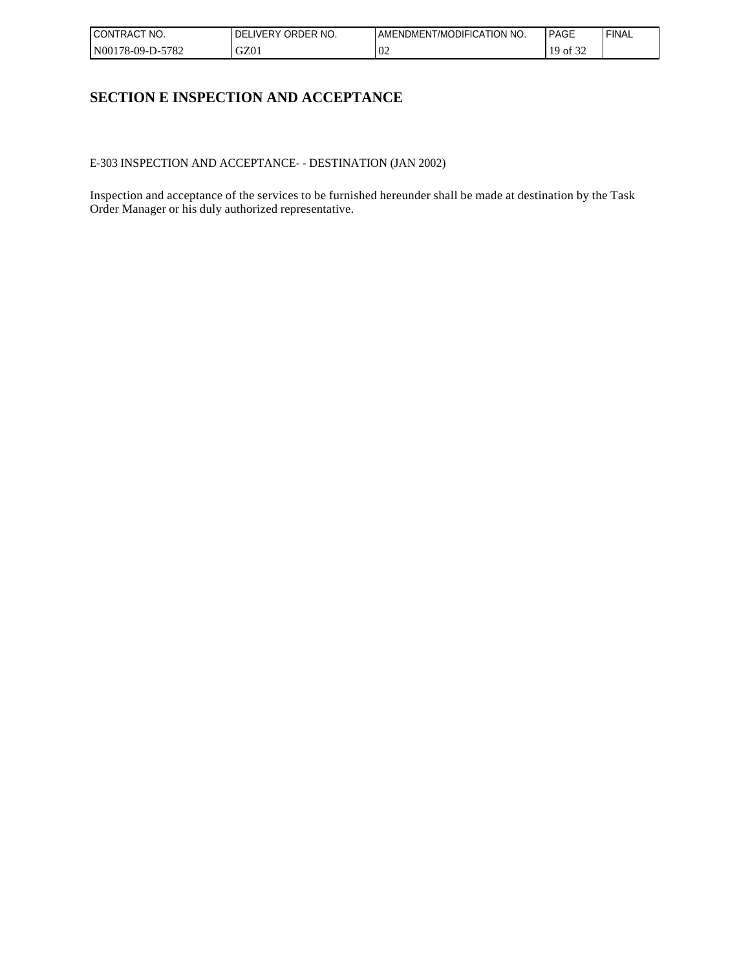| I CONTRACT<br>NO. | ORDER NO.<br>LIVERY<br>DEL | AMENDMENT/MODIFICATION NO. | <b>PAGE</b>                 | 'FINAL |
|-------------------|----------------------------|----------------------------|-----------------------------|--------|
| N00178-09-D-5782  | GZ01                       | 02                         | $c \wedge c$<br>19<br>of 32 |        |

# **SECTION E INSPECTION AND ACCEPTANCE**

E-303 INSPECTION AND ACCEPTANCE- - DESTINATION (JAN 2002)

Inspection and acceptance of the services to be furnished hereunder shall be made at destination by the Task Order Manager or his duly authorized representative.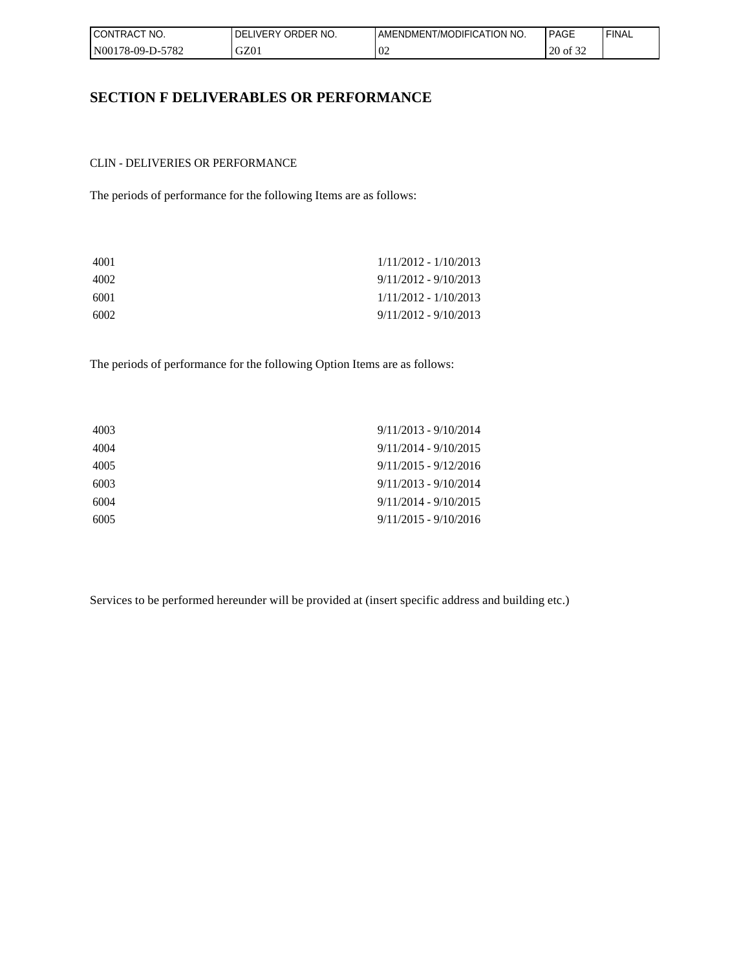| <b>CONTRACT</b><br>NO. | ORDER NO.<br><b>IDELIVERY</b> | AMENDMENT/MODIFICATION NO. | <b>PAGE</b> | <b>I FINAL</b> |
|------------------------|-------------------------------|----------------------------|-------------|----------------|
| N00178-09-D-5782       | GZ01                          | $\Omega$<br>VZ             | 20 of 32    |                |

## **SECTION F DELIVERABLES OR PERFORMANCE**

#### CLIN - DELIVERIES OR PERFORMANCE

The periods of performance for the following Items are as follows:

| $1/11/2012 - 1/10/2013$ |
|-------------------------|
| $9/11/2012 - 9/10/2013$ |
| $1/11/2012 - 1/10/2013$ |
| $9/11/2012 - 9/10/2013$ |
|                         |

The periods of performance for the following Option Items are as follows:

| 4003 | $9/11/2013 - 9/10/2014$ |
|------|-------------------------|
| 4004 | $9/11/2014 - 9/10/2015$ |
| 4005 | $9/11/2015 - 9/12/2016$ |
| 6003 | $9/11/2013 - 9/10/2014$ |
| 6004 | $9/11/2014 - 9/10/2015$ |
| 6005 | $9/11/2015 - 9/10/2016$ |
|      |                         |

Services to be performed hereunder will be provided at (insert specific address and building etc.)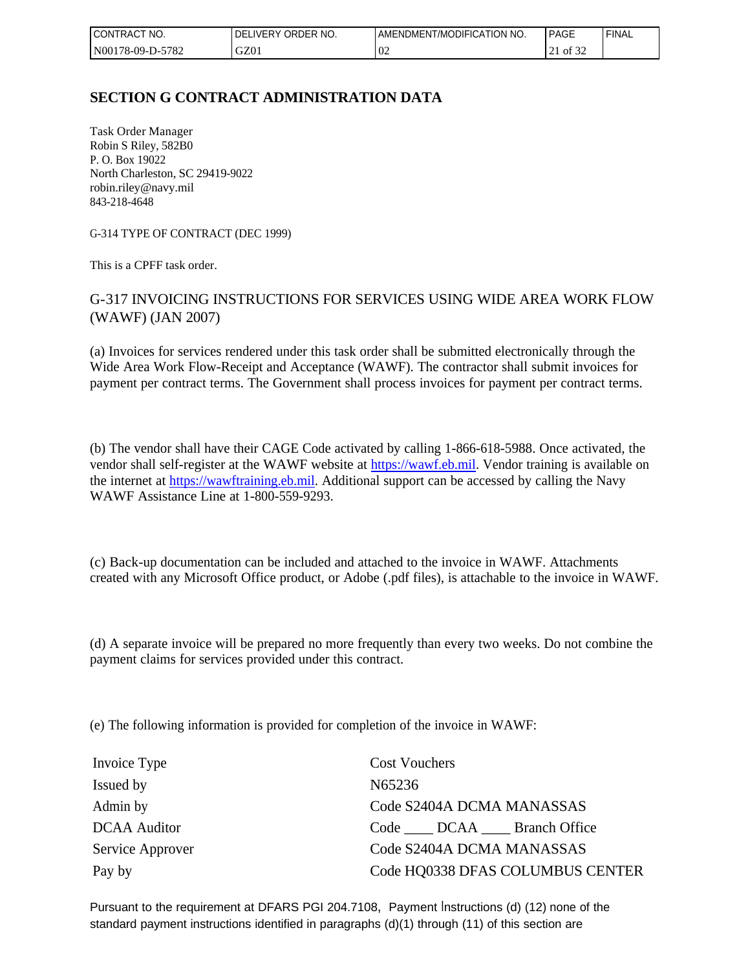| CONTRAC <sub>1</sub><br>NO.<br>$\sim$ | ORDER NO.<br><b>DELIVERY</b> | ENDMENT/MODIFICATION NO.<br>AME | <b>PAGE</b>               | 'FINAL |
|---------------------------------------|------------------------------|---------------------------------|---------------------------|--------|
| -5782<br>  N00178-09-D-5'             | GZ01                         | $\Omega$<br>VZ                  | 0.25<br>of 32<br>$\sim$ 1 |        |

# **SECTION G CONTRACT ADMINISTRATION DATA**

Task Order Manager Robin S Riley, 582B0 P. O. Box 19022 North Charleston, SC 29419-9022 robin.riley@navy.mil 843-218-4648

G-314 TYPE OF CONTRACT (DEC 1999)

This is a CPFF task order.

## G-317 INVOICING INSTRUCTIONS FOR SERVICES USING WIDE AREA WORK FLOW (WAWF) (JAN 2007)

(a) Invoices for services rendered under this task order shall be submitted electronically through the Wide Area Work Flow-Receipt and Acceptance (WAWF). The contractor shall submit invoices for payment per contract terms. The Government shall process invoices for payment per contract terms.

(b) The vendor shall have their CAGE Code activated by calling 1-866-618-5988. Once activated, the vendor shall self-register at the WAWF website at [https://wawf.eb.mil.](https://wawf.eb.mil/) Vendor training is available on the internet at [https://wawftraining.eb.mil](https://wawftraining.eb.mil/). Additional support can be accessed by calling the Navy WAWF Assistance Line at 1-800-559-9293.

(c) Back-up documentation can be included and attached to the invoice in WAWF. Attachments created with any Microsoft Office product, or Adobe (.pdf files), is attachable to the invoice in WAWF.

(d) A separate invoice will be prepared no more frequently than every two weeks. Do not combine the payment claims for services provided under this contract.

(e) The following information is provided for completion of the invoice in WAWF:

| Invoice Type        | <b>Cost Vouchers</b>             |
|---------------------|----------------------------------|
| Issued by           | N65236                           |
| Admin by            | Code S2404A DCMA MANASSAS        |
| <b>DCAA</b> Auditor | Code DCAA Branch Office          |
| Service Approver    | Code S2404A DCMA MANASSAS        |
| Pay by              | Code HQ0338 DFAS COLUMBUS CENTER |

Pursuant to the requirement at DFARS PGI 204.7108, Payment Instructions (d) (12) none of the standard payment instructions identified in paragraphs (d)(1) through (11) of this section are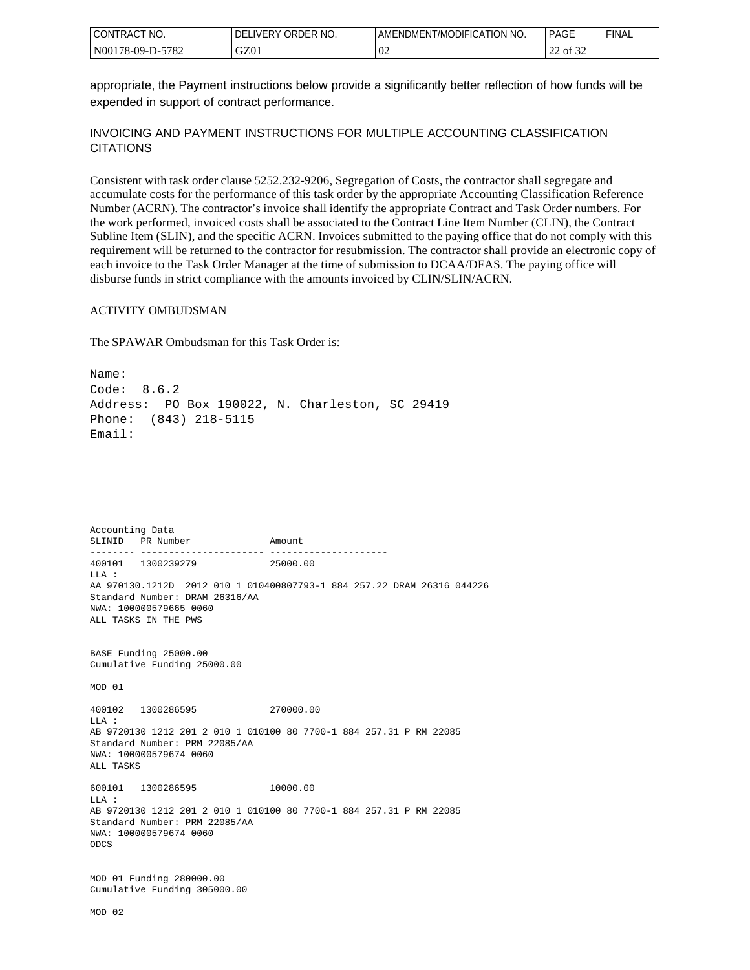| I CONTRACT<br>'NO. | ORDER NO.<br>I IVERY<br>DELI | AMENDMENT/MODIFICATION NO. | PAGE               | 'FINAL |
|--------------------|------------------------------|----------------------------|--------------------|--------|
| N00178-09-D-5782   | GZ01                         | 02                         | 0.25<br>of 32<br>∼ |        |

appropriate, the Payment instructions below provide a significantly better reflection of how funds will be expended in support of contract performance.

#### INVOICING AND PAYMENT INSTRUCTIONS FOR MULTIPLE ACCOUNTING CLASSIFICATION **CITATIONS**

Consistent with task order clause 5252.232-9206, Segregation of Costs, the contractor shall segregate and accumulate costs for the performance of this task order by the appropriate Accounting Classification Reference Number (ACRN). The contractor's invoice shall identify the appropriate Contract and Task Order numbers. For the work performed, invoiced costs shall be associated to the Contract Line Item Number (CLIN), the Contract Subline Item (SLIN), and the specific ACRN. Invoices submitted to the paying office that do not comply with this requirement will be returned to the contractor for resubmission. The contractor shall provide an electronic copy of each invoice to the Task Order Manager at the time of submission to DCAA/DFAS. The paying office will disburse funds in strict compliance with the amounts invoiced by CLIN/SLIN/ACRN.

#### ACTIVITY OMBUDSMAN

The SPAWAR Ombudsman for this Task Order is:

Name: Code: 8.6.2 Address: PO Box 190022, N. Charleston, SC 29419 Phone: (843) 218-5115 Email:

Accounting Data SLINID PR Number Amount -------- ---------------------- --------------------- 400101 1300239279 25000.00 LLA : AA 970130.1212D 2012 010 1 010400807793-1 884 257.22 DRAM 26316 044226 Standard Number: DRAM 26316/AA NWA: 100000579665 0060 ALL TASKS IN THE PWS BASE Funding 25000.00 Cumulative Funding 25000.00 MOD 01 400102 1300286595 270000.00 LLA : AB 9720130 1212 201 2 010 1 010100 80 7700-1 884 257.31 P RM 22085 Standard Number: PRM 22085/AA NWA: 100000579674 0060 ALL TASKS 600101 1300286595 10000.00  $T.T.A$  : AB 9720130 1212 201 2 010 1 010100 80 7700-1 884 257.31 P RM 22085 Standard Number: PRM 22085/AA NWA: 100000579674 0060 ODCS MOD 01 Funding 280000.00 Cumulative Funding 305000.00 MOD 02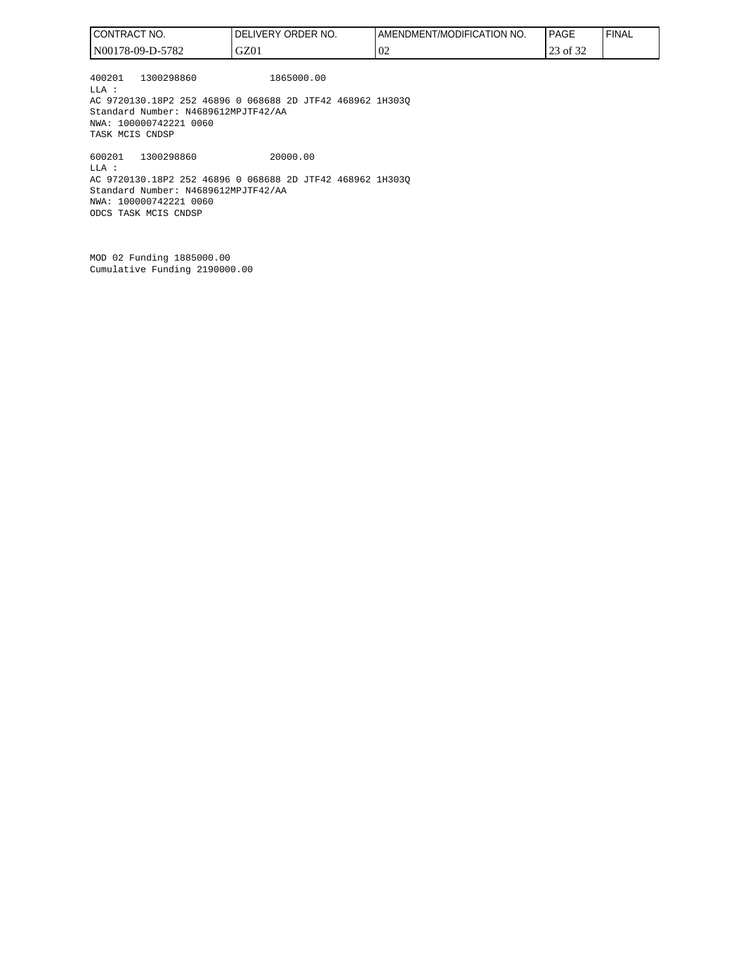| CONTRACT NO.                                                                                                                                                                   | DELIVERY ORDER NO. | AMENDMENT/MODIFICATION NO. | <b>PAGE</b> | <b>FINAL</b> |
|--------------------------------------------------------------------------------------------------------------------------------------------------------------------------------|--------------------|----------------------------|-------------|--------------|
| N00178-09-D-5782                                                                                                                                                               | GZ01               | 02                         | 23 of 32    |              |
| 1300298860<br>400201<br>LLA :<br>AC 9720130.18P2 252 46896 0 068688 2D JTF42 468962 1H3030<br>Standard Number: N4689612MPJTF42/AA<br>NWA: 100000742221 0060<br>TASK MCIS CNDSP | 1865000.00         |                            |             |              |
| 1300298860<br>600201<br>LLA :<br>AC 9720130.18P2 252 46896 0 068688 2D JTF42 468962 1H3030<br>Standard Number: N4689612MPJTF42/AA                                              | 20000.00           |                            |             |              |

NWA: 100000742221 0060 ODCS TASK MCIS CNDSP

MOD 02 Funding 1885000.00 Cumulative Funding 2190000.00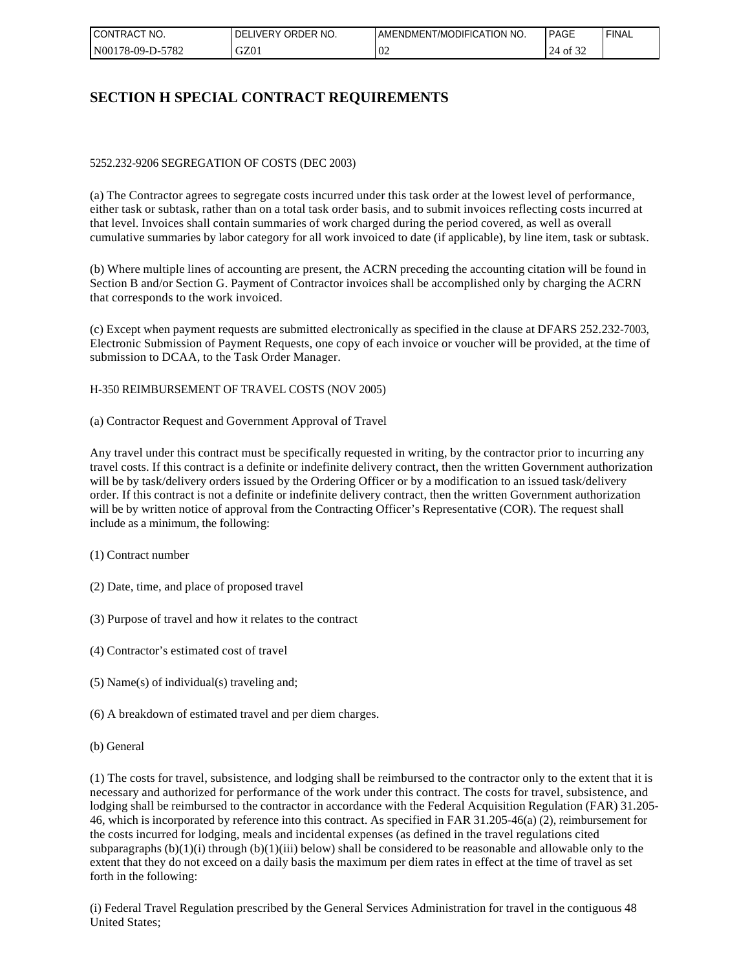| I CONTRACT<br>NO. | ORDER NO.<br><b>DELIVERY</b> | AMENDMENT/MODIFICATION NO. | <b>PAGE</b> | ' FINAL |
|-------------------|------------------------------|----------------------------|-------------|---------|
| N00178-09-D-5782  | GZ01                         | $\Omega$<br>VZ             | 24<br>of 32 |         |

# **SECTION H SPECIAL CONTRACT REQUIREMENTS**

#### 5252.232-9206 SEGREGATION OF COSTS (DEC 2003)

(a) The Contractor agrees to segregate costs incurred under this task order at the lowest level of performance, either task or subtask, rather than on a total task order basis, and to submit invoices reflecting costs incurred at that level. Invoices shall contain summaries of work charged during the period covered, as well as overall cumulative summaries by labor category for all work invoiced to date (if applicable), by line item, task or subtask.

(b) Where multiple lines of accounting are present, the ACRN preceding the accounting citation will be found in Section B and/or Section G. Payment of Contractor invoices shall be accomplished only by charging the ACRN that corresponds to the work invoiced.

(c) Except when payment requests are submitted electronically as specified in the clause at DFARS 252.232-7003, Electronic Submission of Payment Requests, one copy of each invoice or voucher will be provided, at the time of submission to DCAA, to the Task Order Manager.

H-350 REIMBURSEMENT OF TRAVEL COSTS (NOV 2005)

(a) Contractor Request and Government Approval of Travel

Any travel under this contract must be specifically requested in writing, by the contractor prior to incurring any travel costs. If this contract is a definite or indefinite delivery contract, then the written Government authorization will be by task/delivery orders issued by the Ordering Officer or by a modification to an issued task/delivery order. If this contract is not a definite or indefinite delivery contract, then the written Government authorization will be by written notice of approval from the Contracting Officer's Representative (COR). The request shall include as a minimum, the following:

- (1) Contract number
- (2) Date, time, and place of proposed travel
- (3) Purpose of travel and how it relates to the contract
- (4) Contractor's estimated cost of travel
- (5) Name(s) of individual(s) traveling and;
- (6) A breakdown of estimated travel and per diem charges.
- (b) General

(1) The costs for travel, subsistence, and lodging shall be reimbursed to the contractor only to the extent that it is necessary and authorized for performance of the work under this contract. The costs for travel, subsistence, and lodging shall be reimbursed to the contractor in accordance with the Federal Acquisition Regulation (FAR) 31.205-46, which is incorporated by reference into this contract. As specified in FAR 31.205-46(a) (2), reimbursement for the costs incurred for lodging, meals and incidental expenses (as defined in the travel regulations cited subparagraphs  $(b)(1)(i)$  through  $(b)(1)(iii)$  below) shall be considered to be reasonable and allowable only to the extent that they do not exceed on a daily basis the maximum per diem rates in effect at the time of travel as set forth in the following:

(i) Federal Travel Regulation prescribed by the General Services Administration for travel in the contiguous 48 United States;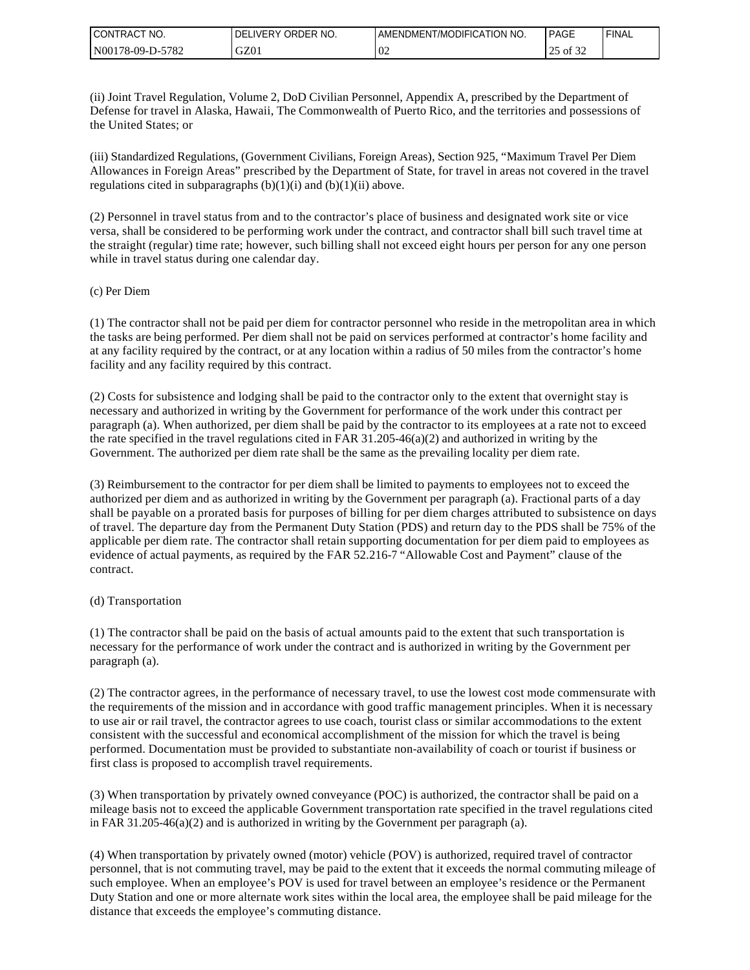| I CONTRACT<br>NO. | ORDER NO.<br><b>IVERY</b><br>DEL | AMENDMENT/MODIFICATION NO. | <b>PAGE</b>                         | 'FINAL |
|-------------------|----------------------------------|----------------------------|-------------------------------------|--------|
| N00178-09-D-5782  | GZ01                             | $\Omega$<br>VZ             | $\sim$ $\sim$ $\sim$<br>of 32<br>رے |        |

(ii) Joint Travel Regulation, Volume 2, DoD Civilian Personnel, Appendix A, prescribed by the Department of Defense for travel in Alaska, Hawaii, The Commonwealth of Puerto Rico, and the territories and possessions of the United States; or

(iii) Standardized Regulations, (Government Civilians, Foreign Areas), Section 925, "Maximum Travel Per Diem Allowances in Foreign Areas" prescribed by the Department of State, for travel in areas not covered in the travel regulations cited in subparagraphs  $(b)(1)(i)$  and  $(b)(1)(ii)$  above.

(2) Personnel in travel status from and to the contractor's place of business and designated work site or vice versa, shall be considered to be performing work under the contract, and contractor shall bill such travel time at the straight (regular) time rate; however, such billing shall not exceed eight hours per person for any one person while in travel status during one calendar day.

#### (c) Per Diem

(1) The contractor shall not be paid per diem for contractor personnel who reside in the metropolitan area in which the tasks are being performed. Per diem shall not be paid on services performed at contractor's home facility and at any facility required by the contract, or at any location within a radius of 50 miles from the contractor's home facility and any facility required by this contract.

(2) Costs for subsistence and lodging shall be paid to the contractor only to the extent that overnight stay is necessary and authorized in writing by the Government for performance of the work under this contract per paragraph (a). When authorized, per diem shall be paid by the contractor to its employees at a rate not to exceed the rate specified in the travel regulations cited in FAR 31.205-46(a)(2) and authorized in writing by the Government. The authorized per diem rate shall be the same as the prevailing locality per diem rate.

(3) Reimbursement to the contractor for per diem shall be limited to payments to employees not to exceed the authorized per diem and as authorized in writing by the Government per paragraph (a). Fractional parts of a day shall be payable on a prorated basis for purposes of billing for per diem charges attributed to subsistence on days of travel. The departure day from the Permanent Duty Station (PDS) and return day to the PDS shall be 75% of the applicable per diem rate. The contractor shall retain supporting documentation for per diem paid to employees as evidence of actual payments, as required by the FAR 52.216-7 "Allowable Cost and Payment" clause of the contract.

#### (d) Transportation

(1) The contractor shall be paid on the basis of actual amounts paid to the extent that such transportation is necessary for the performance of work under the contract and is authorized in writing by the Government per paragraph (a).

(2) The contractor agrees, in the performance of necessary travel, to use the lowest cost mode commensurate with the requirements of the mission and in accordance with good traffic management principles. When it is necessary to use air or rail travel, the contractor agrees to use coach, tourist class or similar accommodations to the extent consistent with the successful and economical accomplishment of the mission for which the travel is being performed. Documentation must be provided to substantiate non-availability of coach or tourist if business or first class is proposed to accomplish travel requirements.

(3) When transportation by privately owned conveyance (POC) is authorized, the contractor shall be paid on a mileage basis not to exceed the applicable Government transportation rate specified in the travel regulations cited in FAR 31.205-46(a)(2) and is authorized in writing by the Government per paragraph (a).

(4) When transportation by privately owned (motor) vehicle (POV) is authorized, required travel of contractor personnel, that is not commuting travel, may be paid to the extent that it exceeds the normal commuting mileage of such employee. When an employee's POV is used for travel between an employee's residence or the Permanent Duty Station and one or more alternate work sites within the local area, the employee shall be paid mileage for the distance that exceeds the employee's commuting distance.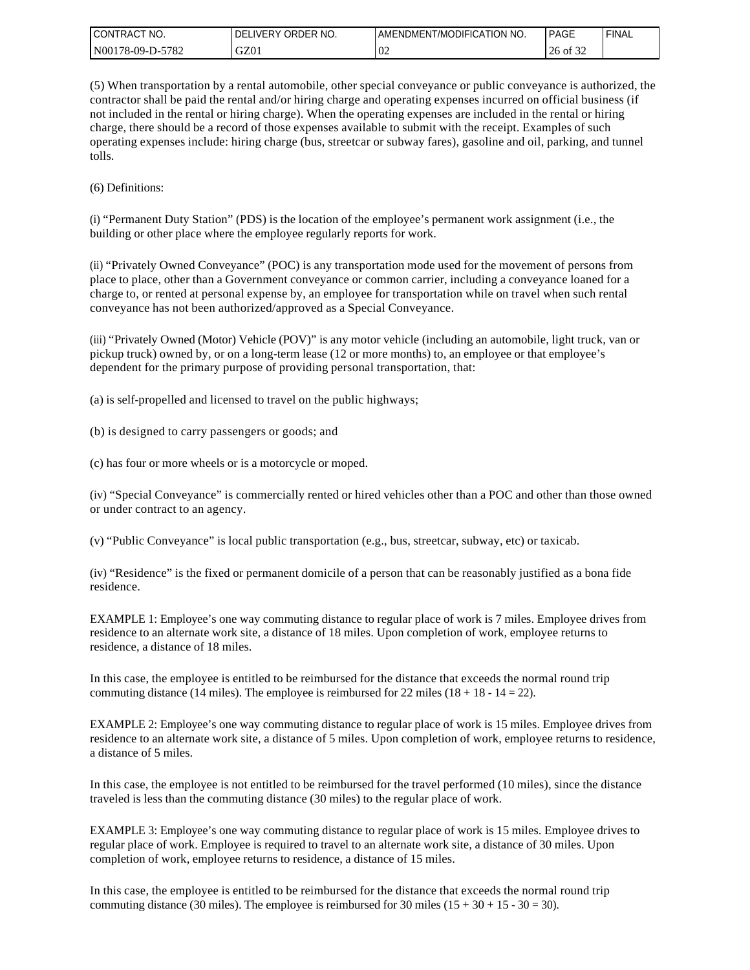| I CONTRACT<br>" NO. | ORDER NO.<br><b>DELIVERY</b> | I AMENDMENT/MODIFICATION NO. | PAGE                      | ' FINAL |
|---------------------|------------------------------|------------------------------|---------------------------|---------|
| N00178-09-D-5782    | GZ01                         | $\Omega$<br>UZ               | $\sim$ $\sim$<br>26 of 32 |         |

(5) When transportation by a rental automobile, other special conveyance or public conveyance is authorized, the contractor shall be paid the rental and/or hiring charge and operating expenses incurred on official business (if not included in the rental or hiring charge). When the operating expenses are included in the rental or hiring charge, there should be a record of those expenses available to submit with the receipt. Examples of such operating expenses include: hiring charge (bus, streetcar or subway fares), gasoline and oil, parking, and tunnel tolls.

(6) Definitions:

(i) "Permanent Duty Station" (PDS) is the location of the employee's permanent work assignment (i.e., the building or other place where the employee regularly reports for work.

(ii) "Privately Owned Conveyance" (POC) is any transportation mode used for the movement of persons from place to place, other than a Government conveyance or common carrier, including a conveyance loaned for a charge to, or rented at personal expense by, an employee for transportation while on travel when such rental conveyance has not been authorized/approved as a Special Conveyance.

(iii) "Privately Owned (Motor) Vehicle (POV)" is any motor vehicle (including an automobile, light truck, van or pickup truck) owned by, or on a long-term lease (12 or more months) to, an employee or that employee's dependent for the primary purpose of providing personal transportation, that:

(a) is self-propelled and licensed to travel on the public highways;

(b) is designed to carry passengers or goods; and

(c) has four or more wheels or is a motorcycle or moped.

(iv) "Special Conveyance" is commercially rented or hired vehicles other than a POC and other than those owned or under contract to an agency.

(v) "Public Conveyance" is local public transportation (e.g., bus, streetcar, subway, etc) or taxicab.

(iv) "Residence" is the fixed or permanent domicile of a person that can be reasonably justified as a bona fide residence.

EXAMPLE 1: Employee's one way commuting distance to regular place of work is 7 miles. Employee drives from residence to an alternate work site, a distance of 18 miles. Upon completion of work, employee returns to residence, a distance of 18 miles.

In this case, the employee is entitled to be reimbursed for the distance that exceeds the normal round trip commuting distance (14 miles). The employee is reimbursed for 22 miles ( $18 + 18 - 14 = 22$ ).

EXAMPLE 2: Employee's one way commuting distance to regular place of work is 15 miles. Employee drives from residence to an alternate work site, a distance of 5 miles. Upon completion of work, employee returns to residence, a distance of 5 miles.

In this case, the employee is not entitled to be reimbursed for the travel performed (10 miles), since the distance traveled is less than the commuting distance (30 miles) to the regular place of work.

EXAMPLE 3: Employee's one way commuting distance to regular place of work is 15 miles. Employee drives to regular place of work. Employee is required to travel to an alternate work site, a distance of 30 miles. Upon completion of work, employee returns to residence, a distance of 15 miles.

In this case, the employee is entitled to be reimbursed for the distance that exceeds the normal round trip commuting distance (30 miles). The employee is reimbursed for 30 miles ( $15 + 30 + 15 - 30 = 30$ ).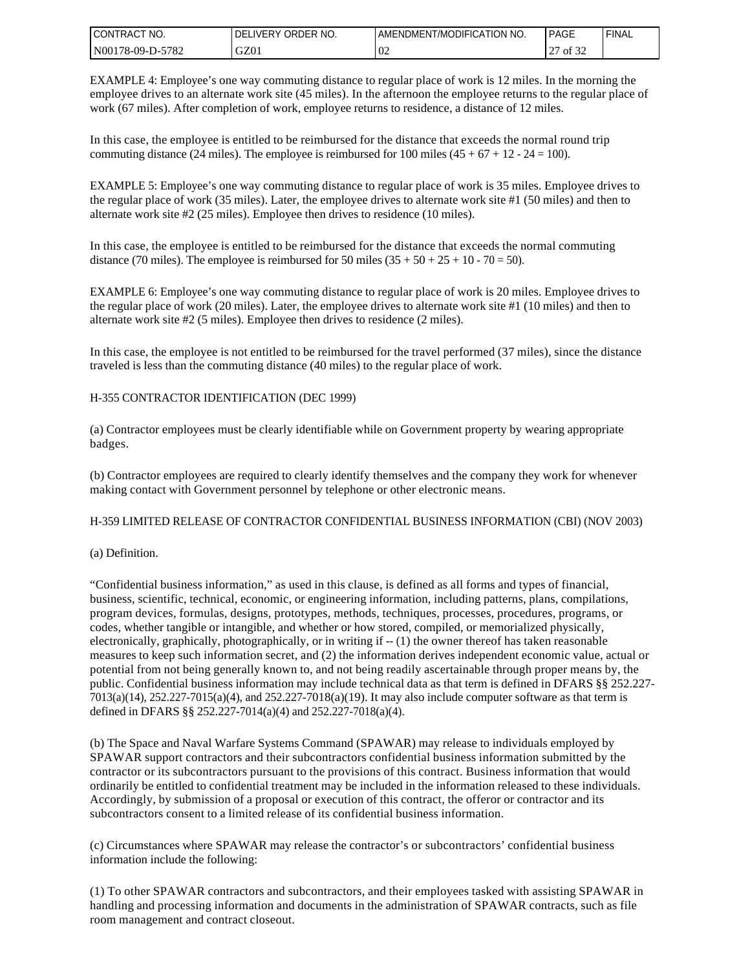| I CONTRACT NO.   | ORDER NO.<br>DELIVERY | AMENDMENT/MODIFICATION NO. | <b>PAGE</b>   | `FINAL |
|------------------|-----------------------|----------------------------|---------------|--------|
| N00178-09-D-5782 | GZ01                  | 02                         | 0.22<br>of 32 |        |

EXAMPLE 4: Employee's one way commuting distance to regular place of work is 12 miles. In the morning the employee drives to an alternate work site (45 miles). In the afternoon the employee returns to the regular place of work (67 miles). After completion of work, employee returns to residence, a distance of 12 miles.

In this case, the employee is entitled to be reimbursed for the distance that exceeds the normal round trip commuting distance (24 miles). The employee is reimbursed for 100 miles  $(45 + 67 + 12 - 24 = 100)$ .

EXAMPLE 5: Employee's one way commuting distance to regular place of work is 35 miles. Employee drives to the regular place of work (35 miles). Later, the employee drives to alternate work site #1 (50 miles) and then to alternate work site #2 (25 miles). Employee then drives to residence (10 miles).

In this case, the employee is entitled to be reimbursed for the distance that exceeds the normal commuting distance (70 miles). The employee is reimbursed for 50 miles  $(35 + 50 + 25 + 10 - 70 = 50)$ .

EXAMPLE 6: Employee's one way commuting distance to regular place of work is 20 miles. Employee drives to the regular place of work (20 miles). Later, the employee drives to alternate work site #1 (10 miles) and then to alternate work site #2 (5 miles). Employee then drives to residence (2 miles).

In this case, the employee is not entitled to be reimbursed for the travel performed (37 miles), since the distance traveled is less than the commuting distance (40 miles) to the regular place of work.

#### H-355 CONTRACTOR IDENTIFICATION (DEC 1999)

(a) Contractor employees must be clearly identifiable while on Government property by wearing appropriate badges.

(b) Contractor employees are required to clearly identify themselves and the company they work for whenever making contact with Government personnel by telephone or other electronic means.

#### H-359 LIMITED RELEASE OF CONTRACTOR CONFIDENTIAL BUSINESS INFORMATION (CBI) (NOV 2003)

#### (a) Definition.

"Confidential business information," as used in this clause, is defined as all forms and types of financial, business, scientific, technical, economic, or engineering information, including patterns, plans, compilations, program devices, formulas, designs, prototypes, methods, techniques, processes, procedures, programs, or codes, whether tangible or intangible, and whether or how stored, compiled, or memorialized physically, electronically, graphically, photographically, or in writing if -- (1) the owner thereof has taken reasonable measures to keep such information secret, and (2) the information derives independent economic value, actual or potential from not being generally known to, and not being readily ascertainable through proper means by, the public. Confidential business information may include technical data as that term is defined in DFARS §§ 252.227- 7013(a)(14), 252.227-7015(a)(4), and 252.227-7018(a)(19). It may also include computer software as that term is defined in DFARS §§ 252.227-7014(a)(4) and 252.227-7018(a)(4).

(b) The Space and Naval Warfare Systems Command (SPAWAR) may release to individuals employed by SPAWAR support contractors and their subcontractors confidential business information submitted by the contractor or its subcontractors pursuant to the provisions of this contract. Business information that would ordinarily be entitled to confidential treatment may be included in the information released to these individuals. Accordingly, by submission of a proposal or execution of this contract, the offeror or contractor and its subcontractors consent to a limited release of its confidential business information.

(c) Circumstances where SPAWAR may release the contractor's or subcontractors' confidential business information include the following:

(1) To other SPAWAR contractors and subcontractors, and their employees tasked with assisting SPAWAR in handling and processing information and documents in the administration of SPAWAR contracts, such as file room management and contract closeout.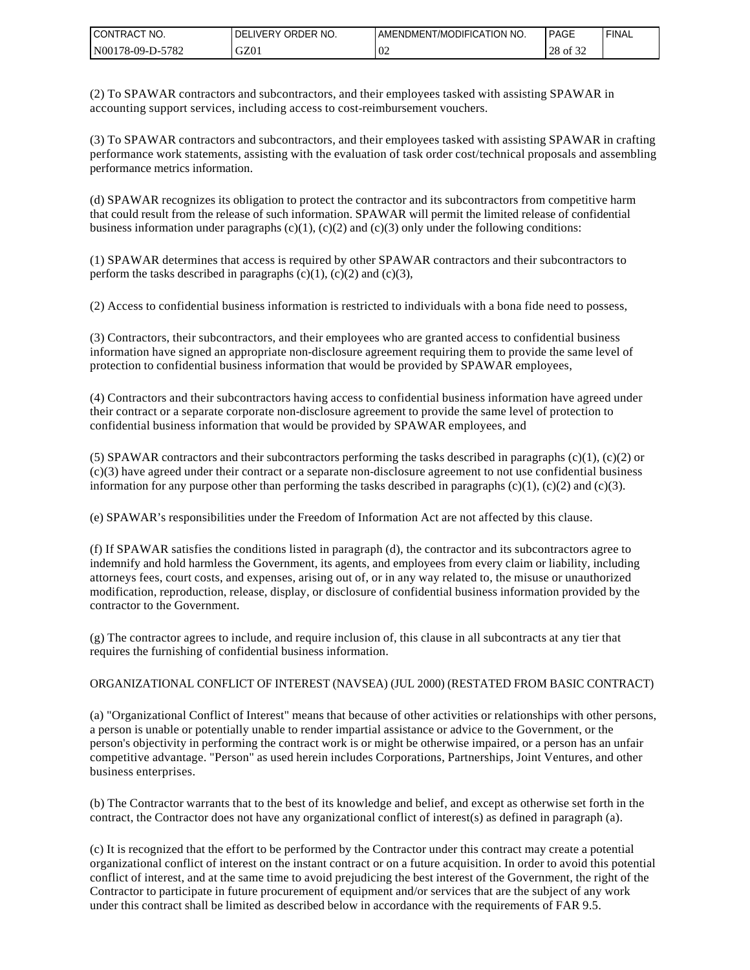| CONTRAC <sub>1</sub><br>NO.<br>$\sim$ | ORDER NO.<br><b>DELIVERY</b> | ENDMENT/MODIFICATION NO.<br>AME | <b>PAGE</b>            | 'FINAL |
|---------------------------------------|------------------------------|---------------------------------|------------------------|--------|
| -5782<br>  N00178-09-D-5'             | GZ01                         | $\Omega$<br>VZ                  | 0.25<br>ററ<br>28 of 32 |        |

(2) To SPAWAR contractors and subcontractors, and their employees tasked with assisting SPAWAR in accounting support services, including access to cost-reimbursement vouchers.

(3) To SPAWAR contractors and subcontractors, and their employees tasked with assisting SPAWAR in crafting performance work statements, assisting with the evaluation of task order cost/technical proposals and assembling performance metrics information.

(d) SPAWAR recognizes its obligation to protect the contractor and its subcontractors from competitive harm that could result from the release of such information. SPAWAR will permit the limited release of confidential business information under paragraphs  $(c)(1)$ ,  $(c)(2)$  and  $(c)(3)$  only under the following conditions:

(1) SPAWAR determines that access is required by other SPAWAR contractors and their subcontractors to perform the tasks described in paragraphs  $(c)(1)$ ,  $(c)(2)$  and  $(c)(3)$ ,

(2) Access to confidential business information is restricted to individuals with a bona fide need to possess,

(3) Contractors, their subcontractors, and their employees who are granted access to confidential business information have signed an appropriate non-disclosure agreement requiring them to provide the same level of protection to confidential business information that would be provided by SPAWAR employees,

(4) Contractors and their subcontractors having access to confidential business information have agreed under their contract or a separate corporate non-disclosure agreement to provide the same level of protection to confidential business information that would be provided by SPAWAR employees, and

(5) SPAWAR contractors and their subcontractors performing the tasks described in paragraphs  $(c)(1)$ ,  $(c)(2)$  or  $(c)(3)$  have agreed under their contract or a separate non-disclosure agreement to not use confidential business information for any purpose other than performing the tasks described in paragraphs  $(c)(1)$ ,  $(c)(2)$  and  $(c)(3)$ .

(e) SPAWAR's responsibilities under the Freedom of Information Act are not affected by this clause.

(f) If SPAWAR satisfies the conditions listed in paragraph (d), the contractor and its subcontractors agree to indemnify and hold harmless the Government, its agents, and employees from every claim or liability, including attorneys fees, court costs, and expenses, arising out of, or in any way related to, the misuse or unauthorized modification, reproduction, release, display, or disclosure of confidential business information provided by the contractor to the Government.

(g) The contractor agrees to include, and require inclusion of, this clause in all subcontracts at any tier that requires the furnishing of confidential business information.

#### ORGANIZATIONAL CONFLICT OF INTEREST (NAVSEA) (JUL 2000) (RESTATED FROM BASIC CONTRACT)

(a) "Organizational Conflict of Interest" means that because of other activities or relationships with other persons, a person is unable or potentially unable to render impartial assistance or advice to the Government, or the person's objectivity in performing the contract work is or might be otherwise impaired, or a person has an unfair competitive advantage. "Person" as used herein includes Corporations, Partnerships, Joint Ventures, and other business enterprises.

(b) The Contractor warrants that to the best of its knowledge and belief, and except as otherwise set forth in the contract, the Contractor does not have any organizational conflict of interest(s) as defined in paragraph (a).

(c) It is recognized that the effort to be performed by the Contractor under this contract may create a potential organizational conflict of interest on the instant contract or on a future acquisition. In order to avoid this potential conflict of interest, and at the same time to avoid prejudicing the best interest of the Government, the right of the Contractor to participate in future procurement of equipment and/or services that are the subject of any work under this contract shall be limited as described below in accordance with the requirements of FAR 9.5.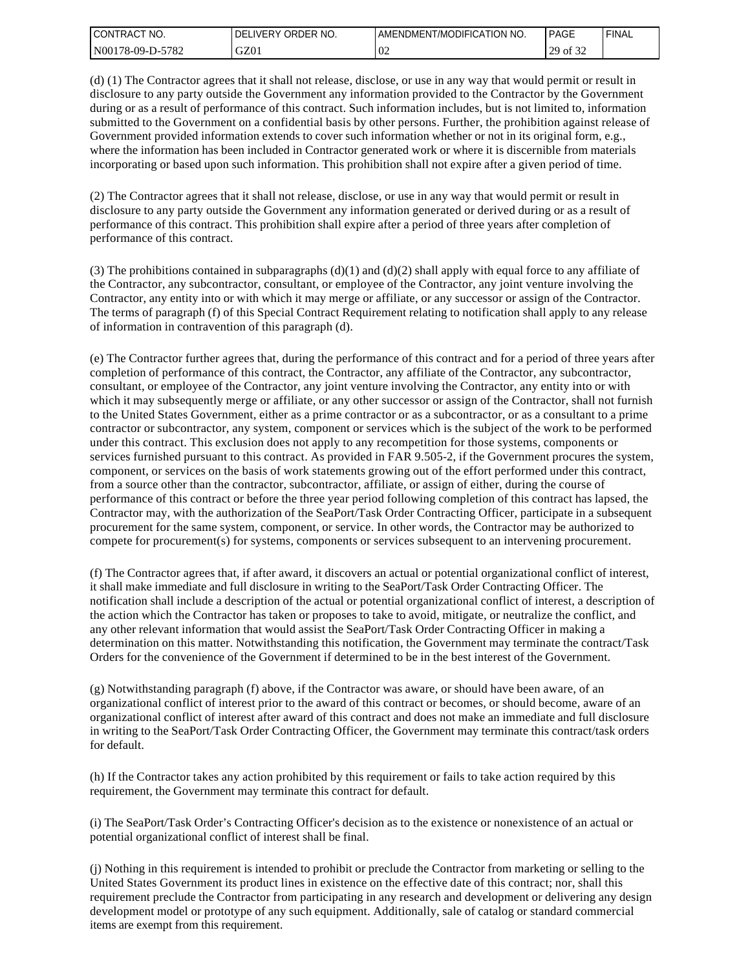| I CONTRACT<br>'NO. | ORDER NO.<br><b>DELIVERY</b> | I AMENDMENT/MODIFICATION NO. | <b>PAGE</b> | 'FINAL |
|--------------------|------------------------------|------------------------------|-------------|--------|
| N00178-09-D-5782   | GZ01                         | 0 <sup>2</sup>               | 29 of 32    |        |

(d) (1) The Contractor agrees that it shall not release, disclose, or use in any way that would permit or result in disclosure to any party outside the Government any information provided to the Contractor by the Government during or as a result of performance of this contract. Such information includes, but is not limited to, information submitted to the Government on a confidential basis by other persons. Further, the prohibition against release of Government provided information extends to cover such information whether or not in its original form, e.g., where the information has been included in Contractor generated work or where it is discernible from materials incorporating or based upon such information. This prohibition shall not expire after a given period of time.

(2) The Contractor agrees that it shall not release, disclose, or use in any way that would permit or result in disclosure to any party outside the Government any information generated or derived during or as a result of performance of this contract. This prohibition shall expire after a period of three years after completion of performance of this contract.

(3) The prohibitions contained in subparagraphs  $(d)(1)$  and  $(d)(2)$  shall apply with equal force to any affiliate of the Contractor, any subcontractor, consultant, or employee of the Contractor, any joint venture involving the Contractor, any entity into or with which it may merge or affiliate, or any successor or assign of the Contractor. The terms of paragraph (f) of this Special Contract Requirement relating to notification shall apply to any release of information in contravention of this paragraph (d).

(e) The Contractor further agrees that, during the performance of this contract and for a period of three years after completion of performance of this contract, the Contractor, any affiliate of the Contractor, any subcontractor, consultant, or employee of the Contractor, any joint venture involving the Contractor, any entity into or with which it may subsequently merge or affiliate, or any other successor or assign of the Contractor, shall not furnish to the United States Government, either as a prime contractor or as a subcontractor, or as a consultant to a prime contractor or subcontractor, any system, component or services which is the subject of the work to be performed under this contract. This exclusion does not apply to any recompetition for those systems, components or services furnished pursuant to this contract. As provided in FAR 9.505-2, if the Government procures the system, component, or services on the basis of work statements growing out of the effort performed under this contract, from a source other than the contractor, subcontractor, affiliate, or assign of either, during the course of performance of this contract or before the three year period following completion of this contract has lapsed, the Contractor may, with the authorization of the SeaPort/Task Order Contracting Officer, participate in a subsequent procurement for the same system, component, or service. In other words, the Contractor may be authorized to compete for procurement(s) for systems, components or services subsequent to an intervening procurement.

(f) The Contractor agrees that, if after award, it discovers an actual or potential organizational conflict of interest, it shall make immediate and full disclosure in writing to the SeaPort/Task Order Contracting Officer. The notification shall include a description of the actual or potential organizational conflict of interest, a description of the action which the Contractor has taken or proposes to take to avoid, mitigate, or neutralize the conflict, and any other relevant information that would assist the SeaPort/Task Order Contracting Officer in making a determination on this matter. Notwithstanding this notification, the Government may terminate the contract/Task Orders for the convenience of the Government if determined to be in the best interest of the Government.

(g) Notwithstanding paragraph (f) above, if the Contractor was aware, or should have been aware, of an organizational conflict of interest prior to the award of this contract or becomes, or should become, aware of an organizational conflict of interest after award of this contract and does not make an immediate and full disclosure in writing to the SeaPort/Task Order Contracting Officer, the Government may terminate this contract/task orders for default.

(h) If the Contractor takes any action prohibited by this requirement or fails to take action required by this requirement, the Government may terminate this contract for default.

(i) The SeaPort/Task Order's Contracting Officer's decision as to the existence or nonexistence of an actual or potential organizational conflict of interest shall be final.

(j) Nothing in this requirement is intended to prohibit or preclude the Contractor from marketing or selling to the United States Government its product lines in existence on the effective date of this contract; nor, shall this requirement preclude the Contractor from participating in any research and development or delivering any design development model or prototype of any such equipment. Additionally, sale of catalog or standard commercial items are exempt from this requirement.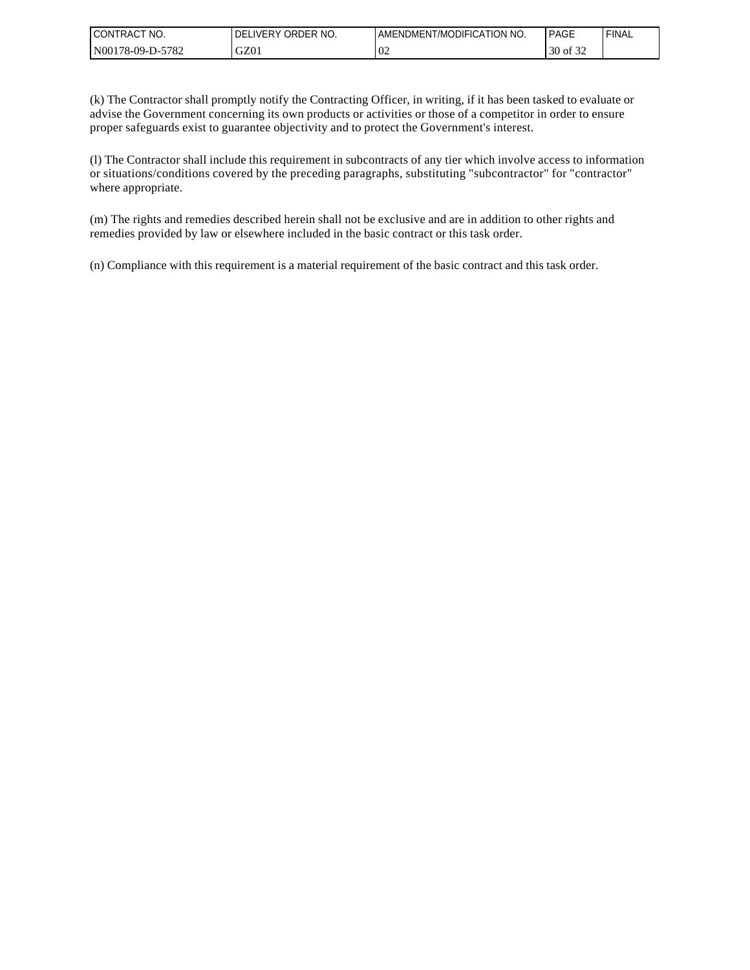| <b>CONTRACT</b><br>NO. | ORDER NO.<br><b>IVERY</b><br>DEL | AMENDMENT/MODIFICATION NO. | <b>PAGE</b>                   | 'FINAL |
|------------------------|----------------------------------|----------------------------|-------------------------------|--------|
| -5782<br>N00178-09-D-5 | GZ01                             | $\Omega$<br>VZ             | $c \wedge c$<br>30<br>of $32$ |        |

(k) The Contractor shall promptly notify the Contracting Officer, in writing, if it has been tasked to evaluate or advise the Government concerning its own products or activities or those of a competitor in order to ensure proper safeguards exist to guarantee objectivity and to protect the Government's interest.

(l) The Contractor shall include this requirement in subcontracts of any tier which involve access to information or situations/conditions covered by the preceding paragraphs, substituting "subcontractor" for "contractor" where appropriate.

(m) The rights and remedies described herein shall not be exclusive and are in addition to other rights and remedies provided by law or elsewhere included in the basic contract or this task order.

(n) Compliance with this requirement is a material requirement of the basic contract and this task order.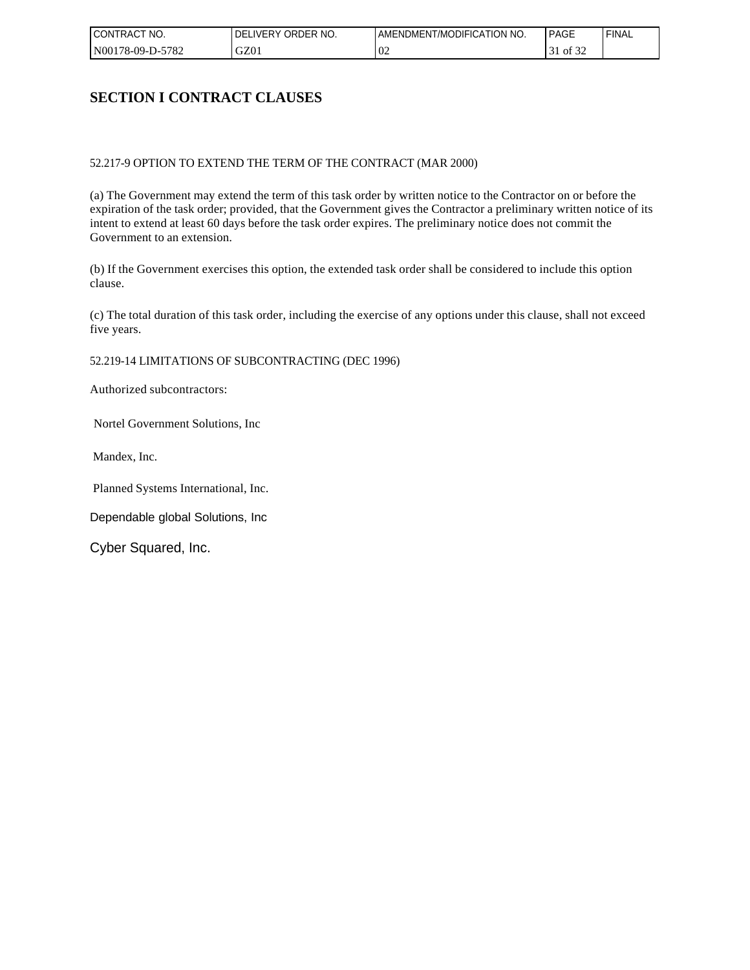| I CONTRACT<br>NO. | ORDER NO.<br><b>DELIVERY</b> | AMENDMENT/MODIFICATION NO. | <b>PAGE</b> | ' FINAL |
|-------------------|------------------------------|----------------------------|-------------|---------|
| N00178-09-D-5782  | GZ01                         | $\Omega$<br>VZ             | of 32       |         |

## **SECTION I CONTRACT CLAUSES**

#### 52.217-9 OPTION TO EXTEND THE TERM OF THE CONTRACT (MAR 2000)

(a) The Government may extend the term of this task order by written notice to the Contractor on or before the expiration of the task order; provided, that the Government gives the Contractor a preliminary written notice of its intent to extend at least 60 days before the task order expires. The preliminary notice does not commit the Government to an extension.

(b) If the Government exercises this option, the extended task order shall be considered to include this option clause.

(c) The total duration of this task order, including the exercise of any options under this clause, shall not exceed five years.

52.219-14 LIMITATIONS OF SUBCONTRACTING (DEC 1996)

Authorized subcontractors:

Nortel Government Solutions, Inc

Mandex, Inc.

Planned Systems International, Inc.

Dependable global Solutions, Inc

Cyber Squared, Inc.